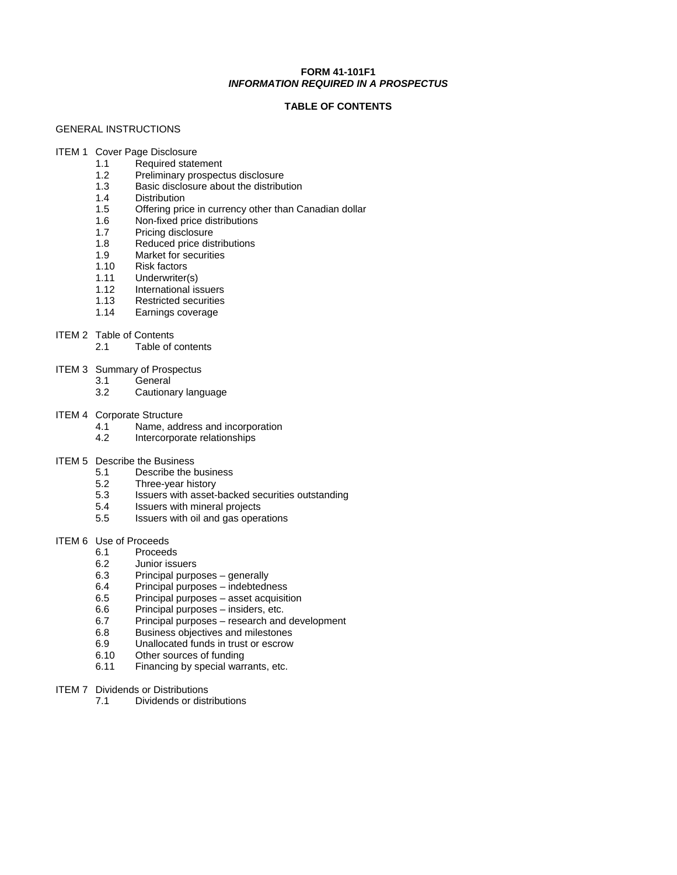# **FORM 41-101F1**  *INFORMATION REQUIRED IN A PROSPECTUS*

# **TABLE OF CONTENTS**

# GENERAL INSTRUCTIONS

- ITEM 1 Cover Page Disclosure
	- 1.1 Required statement
	- 1.2 Preliminary prospectus disclosure
	- 1.3 Basic disclosure about the distribution
	- 1.4 Distribution
	- 1.5 Offering price in currency other than Canadian dollar
	- 1.6 Non-fixed price distributions<br>1.7 Pricing disclosure
	- 1.7 Pricing disclosure<br>1.8 Reduced price dis-
	- 1.8 Reduced price distributions<br>1.9 Market for securities
	- 1.9 Market for securities<br>1.10 Risk factors
	- Risk factors
	- 1.11 Underwriter(s)
	- 1.12 International issuers
	- 1.13 Restricted securities
	- 1.14 Earnings coverage

# ITEM 2 Table of Contents

- 2.1 Table of contents
- ITEM 3 Summary of Prospectus
	- 3.1 General
	- 3.2 Cautionary language
- ITEM 4 Corporate Structure<br>4.1 Name. add
	- 4.1 Name, address and incorporation<br>4.2 Intercorporate relationships
	- Intercorporate relationships

# ITEM 5 Describe the Business

- 5.1 Describe the business
- 5.2 Three-year history
- 5.3 Issuers with asset-backed securities outstanding
- 5.4 Issuers with mineral projects<br>5.5 Issuers with oil and gas opera
- 5.5 Issuers with oil and gas operations

# ITEM 6 Use of Proceeds<br>6.1 Proceed

- 6.1 Proceeds<br>6.2 Junior issu
- Junior issuers
- 6.3 Principal purposes generally
- 6.4 Principal purposes indebtedness
- 6.5 Principal purposes asset acquisition
- 6.6 Principal purposes insiders, etc.
- 6.7 Principal purposes research and development
- 6.8 Business objectives and milestones
- 6.9 Unallocated funds in trust or escrow
- 6.10 Other sources of funding
- 6.11 Financing by special warrants, etc.

# **ITEM 7** Dividends or Distributions<br>7.1 Dividends or distr

Dividends or distributions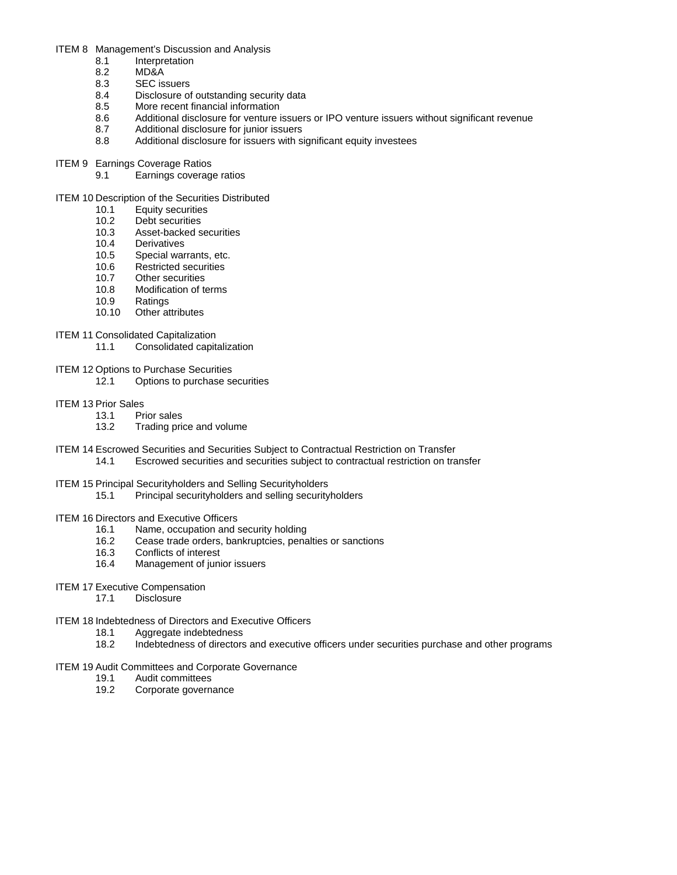## ITEM 8 Management's Discussion and Analysis

- 8.1 Interpretation
- 8.2 MD&A
- 8.3 SEC issuers
- 8.4 Disclosure of outstanding security data
- 8.5 More recent financial information
- 8.6 Additional disclosure for venture issuers or IPO venture issuers without significant revenue
- 8.7 Additional disclosure for junior issuers
- 8.8 Additional disclosure for issuers with significant equity investees
- ITEM 9 Earnings Coverage Ratios
	- 9.1 Earnings coverage ratios

## ITEM 10 Description of the Securities Distributed

- 10.1 Equity securities
- 10.2 Debt securities<br>10.3 Asset-backed s
- 10.3 Asset-backed securities<br>10.4 Derivatives
- 10.4 Derivatives<br>10.5 Special war
- 10.5 Special warrants, etc.<br>10.6 Restricted securities
- Restricted securities
- 10.7 Other securities
- 10.8 Modification of terms
- 10.9 Ratings
- 10.10 Other attributes
- ITEM 11 Consolidated Capitalization
	- 11.1 Consolidated capitalization
- ITEM 12 Options to Purchase Securities
	- 12.1 Options to purchase securities
- ITEM 13 Prior Sales
	- 13.1 Prior sales
	- 13.2 Trading price and volume
- ITEM 14 Escrowed Securities and Securities Subject to Contractual Restriction on Transfer
	- 14.1 Escrowed securities and securities subject to contractual restriction on transfer
- ITEM 15 Principal Securityholders and Selling Securityholders
	- 15.1 Principal securityholders and selling securityholders

#### ITEM 16 Directors and Executive Officers

- 16.1 Name, occupation and security holding<br>16.2 Cease trade orders, bankruptcies, pena
- 16.2 Cease trade orders, bankruptcies, penalties or sanctions
- 16.3 Conflicts of interest<br>16.4 Management of iuni
- Management of junior issuers

# ITEM 17 Executive Compensation

17.1 Disclosure

#### ITEM 18 Indebtedness of Directors and Executive Officers

- 18.1 Aggregate indebtedness
- 18.2 Indebtedness of directors and executive officers under securities purchase and other programs

## ITEM 19 Audit Committees and Corporate Governance

- 19.1 Audit committees
- 19.2 Corporate governance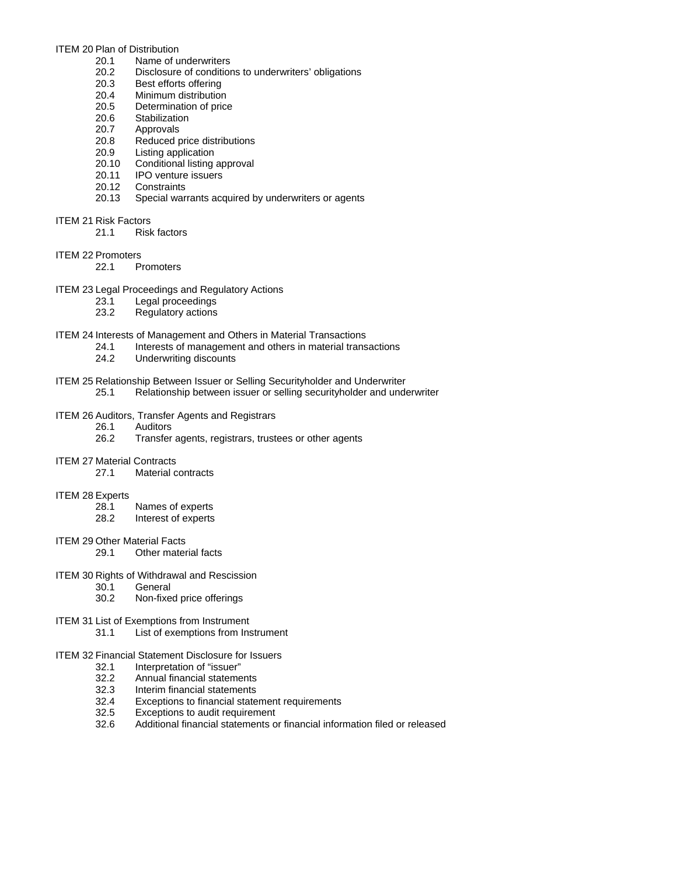## ITEM 20 Plan of Distribution

- 20.1 Name of underwriters
- 20.2 Disclosure of conditions to underwriters' obligations
- Best efforts offering
- 20.4 Minimum distribution
- 20.5 Determination of price
- 20.6 Stabilization
- 20.7 Approvals
- 20.8 Reduced price distributions<br>20.9 Listing application
- 20.9 Listing application<br>20.10 Conditional listing
- 20.10 Conditional listing approval<br>20.11 IPO venture issuers
- IPO venture issuers
- 20.12 Constraints
- 20.13 Special warrants acquired by underwriters or agents
- ITEM 21 Risk Factors
	- 21.1 Risk factors
- ITEM 22 Promoters<br>22.1 PI
	- **Promoters**
- ITEM 23 Legal Proceedings and Regulatory Actions
	- 23.1 Legal proceedings
	- 23.2 Regulatory actions

# ITEM 24 Interests of Management and Others in Material Transactions

- 24.1 Interests of management and others in material transactions<br>24.2 Underwriting discounts
- Underwriting discounts

## ITEM 25 Relationship Between Issuer or Selling Securityholder and Underwriter

- 25.1 Relationship between issuer or selling securityholder and underwriter
- ITEM 26 Auditors, Transfer Agents and Registrars
	- 26.1 Auditors<br>26.2 Transfer
	- Transfer agents, registrars, trustees or other agents
- ITEM 27 Material Contracts
	- 27.1 Material contracts
- ITEM 28 Experts
	- 28.1 Names of experts<br>28.2 Interest of experts
	- Interest of experts

# ITEM 29 Other Material Facts

- Other material facts
- ITEM 30 Rights of Withdrawal and Rescission
	- 30.1 General
	- 30.2 Non-fixed price offerings
- ITEM 31 List of Exemptions from Instrument
	- 31.1 List of exemptions from Instrument

# ITEM 32 Financial Statement Disclosure for Issuers

- 32.1 Interpretation of "issuer"<br>32.2 Annual financial stateme
- 32.2 Annual financial statements<br>32.3 Interim financial statements
- Interim financial statements
- 32.4 Exceptions to financial statement requirements
- 32.5 Exceptions to audit requirement<br>32.6 Additional financial statements o
- Additional financial statements or financial information filed or released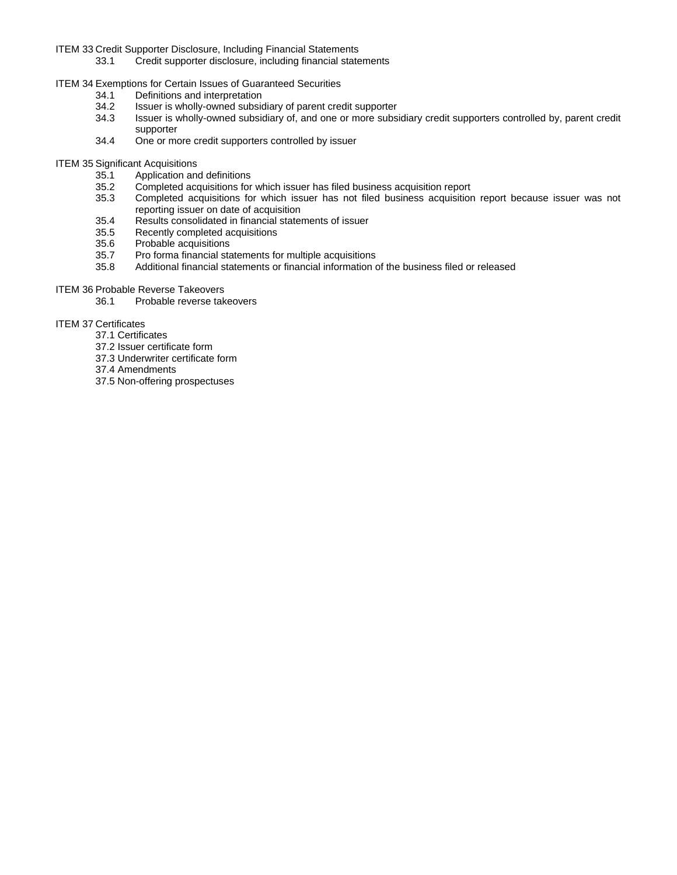## ITEM 33 Credit Supporter Disclosure, Including Financial Statements

33.1 Credit supporter disclosure, including financial statements

## ITEM 34 Exemptions for Certain Issues of Guaranteed Securities

- 34.1 Definitions and interpretation<br>34.2 Issuer is wholly-owned subsident
- 34.2 Issuer is wholly-owned subsidiary of parent credit supporter<br>34.3 Issuer is wholly-owned subsidiary of, and one or more subsi
- Issuer is wholly-owned subsidiary of, and one or more subsidiary credit supporters controlled by, parent credit supporter
- 34.4 One or more credit supporters controlled by issuer

# ITEM 35 Significant Acquisitions<br>35.1 Application and

- Application and definitions
- 35.2 Completed acquisitions for which issuer has filed business acquisition report
- 35.3 Completed acquisitions for which issuer has not filed business acquisition report because issuer was not reporting issuer on date of acquisition
- 35.4 Results consolidated in financial statements of issuer
- 35.5 Recently completed acquisitions<br>35.6 Probable acquisitions
- 35.6 Probable acquisitions<br>35.7 Pro forma financial sta
- 35.7 Pro forma financial statements for multiple acquisitions
- Additional financial statements or financial information of the business filed or released

# ITEM 36 Probable Reverse Takeovers

36.1 Probable reverse takeovers

# ITEM 37 Certificates

- 37.1 Certificates
- 37.2 Issuer certificate form
- 37.3 Underwriter certificate form
- 37.4 Amendments
- 37.5 Non-offering prospectuses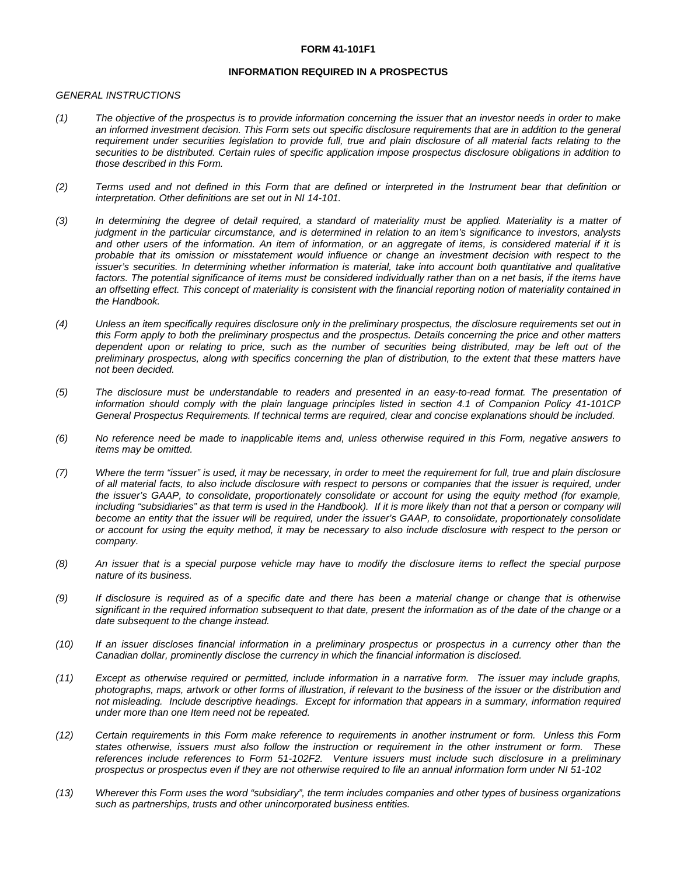## **FORM 41-101F1**

# **INFORMATION REQUIRED IN A PROSPECTUS**

#### *GENERAL INSTRUCTIONS*

- *(1) The objective of the prospectus is to provide information concerning the issuer that an investor needs in order to make*  an informed investment decision. This Form sets out specific disclosure requirements that are in addition to the general requirement under securities legislation to provide full, true and plain disclosure of all material facts relating to the *securities to be distributed. Certain rules of specific application impose prospectus disclosure obligations in addition to those described in this Form.*
- *(2) Terms used and not defined in this Form that are defined or interpreted in the Instrument bear that definition or interpretation. Other definitions are set out in NI 14-101.*
- *(3) In determining the degree of detail required, a standard of materiality must be applied. Materiality is a matter of judgment in the particular circumstance, and is determined in relation to an item's significance to investors, analysts and other users of the information. An item of information, or an aggregate of items, is considered material if it is probable that its omission or misstatement would influence or change an investment decision with respect to the*  issuer's securities. In determining whether information is material, take into account both quantitative and qualitative factors. The potential significance of items must be considered individually rather than on a net basis, if the items have *an offsetting effect. This concept of materiality is consistent with the financial reporting notion of materiality contained in the Handbook.*
- *(4) Unless an item specifically requires disclosure only in the preliminary prospectus, the disclosure requirements set out in this Form apply to both the preliminary prospectus and the prospectus. Details concerning the price and other matters dependent upon or relating to price, such as the number of securities being distributed, may be left out of the preliminary prospectus, along with specifics concerning the plan of distribution, to the extent that these matters have not been decided.*
- *(5) The disclosure must be understandable to readers and presented in an easy-to-read format. The presentation of information should comply with the plain language principles listed in section 4.1 of Companion Policy 41-101CP General Prospectus Requirements. If technical terms are required, clear and concise explanations should be included.*
- *(6) No reference need be made to inapplicable items and, unless otherwise required in this Form, negative answers to items may be omitted.*
- *(7) Where the term "issuer" is used, it may be necessary, in order to meet the requirement for full, true and plain disclosure of all material facts, to also include disclosure with respect to persons or companies that the issuer is required, under the issuer's GAAP, to consolidate, proportionately consolidate or account for using the equity method (for example,*  including "subsidiaries" as that term is used in the Handbook). If it is more likely than not that a person or company will *become an entity that the issuer will be required, under the issuer's GAAP, to consolidate, proportionately consolidate or account for using the equity method, it may be necessary to also include disclosure with respect to the person or company.*
- *(8) An issuer that is a special purpose vehicle may have to modify the disclosure items to reflect the special purpose nature of its business.*
- *(9) If disclosure is required as of a specific date and there has been a material change or change that is otherwise significant in the required information subsequent to that date, present the information as of the date of the change or a date subsequent to the change instead.*
- *(10) If an issuer discloses financial information in a preliminary prospectus or prospectus in a currency other than the Canadian dollar, prominently disclose the currency in which the financial information is disclosed.*
- *(11) Except as otherwise required or permitted, include information in a narrative form. The issuer may include graphs, photographs, maps, artwork or other forms of illustration, if relevant to the business of the issuer or the distribution and not misleading. Include descriptive headings. Except for information that appears in a summary, information required under more than one Item need not be repeated.*
- *(12) Certain requirements in this Form make reference to requirements in another instrument or form. Unless this Form states otherwise, issuers must also follow the instruction or requirement in the other instrument or form. These references include references to Form 51-102F2. Venture issuers must include such disclosure in a preliminary prospectus or prospectus even if they are not otherwise required to file an annual information form under NI 51-102*
- *(13) Wherever this Form uses the word "subsidiary", the term includes companies and other types of business organizations such as partnerships, trusts and other unincorporated business entities.*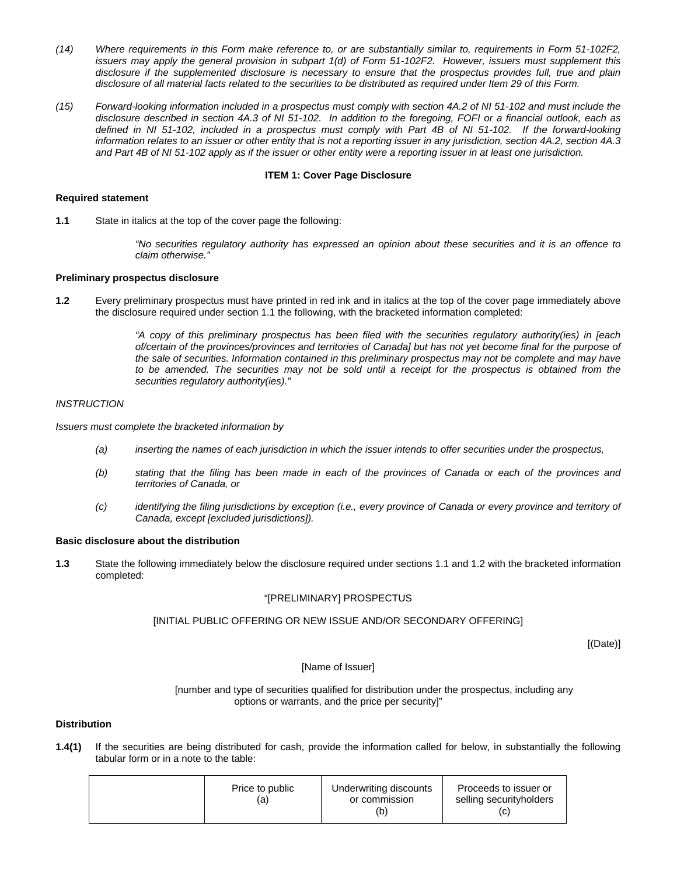- *(14) Where requirements in this Form make reference to, or are substantially similar to, requirements in Form 51-102F2, issuers may apply the general provision in subpart 1(d) of Form 51-102F2. However, issuers must supplement this disclosure if the supplemented disclosure is necessary to ensure that the prospectus provides full, true and plain disclosure of all material facts related to the securities to be distributed as required under Item 29 of this Form.*
- *(15) Forward-looking information included in a prospectus must comply with section 4A.2 of NI 51-102 and must include the disclosure described in section 4A.3 of NI 51-102. In addition to the foregoing, FOFI or a financial outlook, each as defined in NI 51-102, included in a prospectus must comply with Part 4B of NI 51-102. If the forward-looking information relates to an issuer or other entity that is not a reporting issuer in any jurisdiction, section 4A.2, section 4A.3 and Part 4B of NI 51-102 apply as if the issuer or other entity were a reporting issuer in at least one jurisdiction.*

## **ITEM 1: Cover Page Disclosure**

## **Required statement**

**1.1** State in italics at the top of the cover page the following:

*"No securities regulatory authority has expressed an opinion about these securities and it is an offence to claim otherwise."* 

# **Preliminary prospectus disclosure**

**1.2** Every preliminary prospectus must have printed in red ink and in italics at the top of the cover page immediately above the disclosure required under section 1.1 the following, with the bracketed information completed:

> *"A copy of this preliminary prospectus has been filed with the securities regulatory authority(ies) in [each of/certain of the provinces/provinces and territories of Canada] but has not yet become final for the purpose of the sale of securities. Information contained in this preliminary prospectus may not be complete and may have*  to be amended. The securities may not be sold until a receipt for the prospectus is obtained from the *securities regulatory authority(ies)."*

## **INSTRUCTION**

*Issuers must complete the bracketed information by* 

- *(a) inserting the names of each jurisdiction in which the issuer intends to offer securities under the prospectus,*
- *(b) stating that the filing has been made in each of the provinces of Canada or each of the provinces and territories of Canada, or*
- *(c) identifying the filing jurisdictions by exception (i.e., every province of Canada or every province and territory of Canada, except [excluded jurisdictions]).*

# **Basic disclosure about the distribution**

**1.3** State the following immediately below the disclosure required under sections 1.1 and 1.2 with the bracketed information completed:

# "[PRELIMINARY] PROSPECTUS

# [INITIAL PUBLIC OFFERING OR NEW ISSUE AND/OR SECONDARY OFFERING]

[(Date)]

# [Name of Issuer]

[number and type of securities qualified for distribution under the prospectus, including any options or warrants, and the price per security]"

# **Distribution**

**1.4(1)** If the securities are being distributed for cash, provide the information called for below, in substantially the following tabular form or in a note to the table:

| Price to public<br>(a' | Underwriting discounts<br>or commission<br>(b) | Proceeds to issuer or<br>selling securityholders |
|------------------------|------------------------------------------------|--------------------------------------------------|
|------------------------|------------------------------------------------|--------------------------------------------------|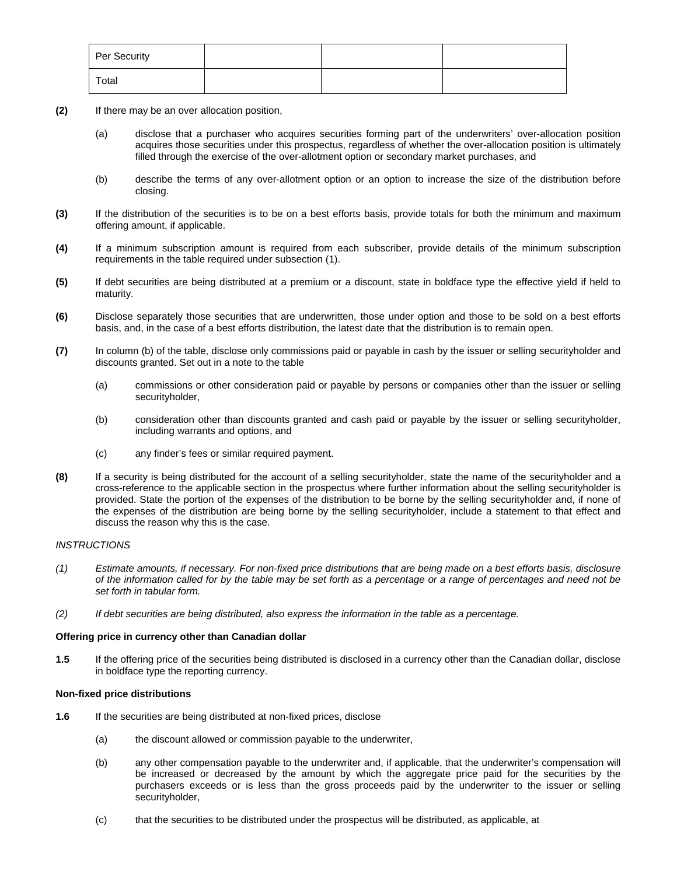| Per Security |  |  |
|--------------|--|--|
| Total        |  |  |

- **(2)** If there may be an over allocation position,
	- (a) disclose that a purchaser who acquires securities forming part of the underwriters' over-allocation position acquires those securities under this prospectus, regardless of whether the over-allocation position is ultimately filled through the exercise of the over-allotment option or secondary market purchases, and
	- (b) describe the terms of any over-allotment option or an option to increase the size of the distribution before closing.
- **(3)** If the distribution of the securities is to be on a best efforts basis, provide totals for both the minimum and maximum offering amount, if applicable.
- **(4)** If a minimum subscription amount is required from each subscriber, provide details of the minimum subscription requirements in the table required under subsection (1).
- **(5)** If debt securities are being distributed at a premium or a discount, state in boldface type the effective yield if held to maturity.
- **(6)** Disclose separately those securities that are underwritten, those under option and those to be sold on a best efforts basis, and, in the case of a best efforts distribution, the latest date that the distribution is to remain open.
- **(7)** In column (b) of the table, disclose only commissions paid or payable in cash by the issuer or selling securityholder and discounts granted. Set out in a note to the table
	- (a) commissions or other consideration paid or payable by persons or companies other than the issuer or selling securityholder,
	- (b) consideration other than discounts granted and cash paid or payable by the issuer or selling securityholder, including warrants and options, and
	- (c) any finder's fees or similar required payment.
- **(8)** If a security is being distributed for the account of a selling securityholder, state the name of the securityholder and a cross-reference to the applicable section in the prospectus where further information about the selling securityholder is provided. State the portion of the expenses of the distribution to be borne by the selling securityholder and, if none of the expenses of the distribution are being borne by the selling securityholder, include a statement to that effect and discuss the reason why this is the case.

# *INSTRUCTIONS*

- *(1) Estimate amounts, if necessary. For non-fixed price distributions that are being made on a best efforts basis, disclosure of the information called for by the table may be set forth as a percentage or a range of percentages and need not be set forth in tabular form.*
- *(2) If debt securities are being distributed, also express the information in the table as a percentage.*

#### **Offering price in currency other than Canadian dollar**

**1.5** If the offering price of the securities being distributed is disclosed in a currency other than the Canadian dollar, disclose in boldface type the reporting currency.

## **Non-fixed price distributions**

- **1.6** If the securities are being distributed at non-fixed prices, disclose
	- (a) the discount allowed or commission payable to the underwriter,
	- (b) any other compensation payable to the underwriter and, if applicable, that the underwriter's compensation will be increased or decreased by the amount by which the aggregate price paid for the securities by the purchasers exceeds or is less than the gross proceeds paid by the underwriter to the issuer or selling securityholder,
	- (c) that the securities to be distributed under the prospectus will be distributed, as applicable, at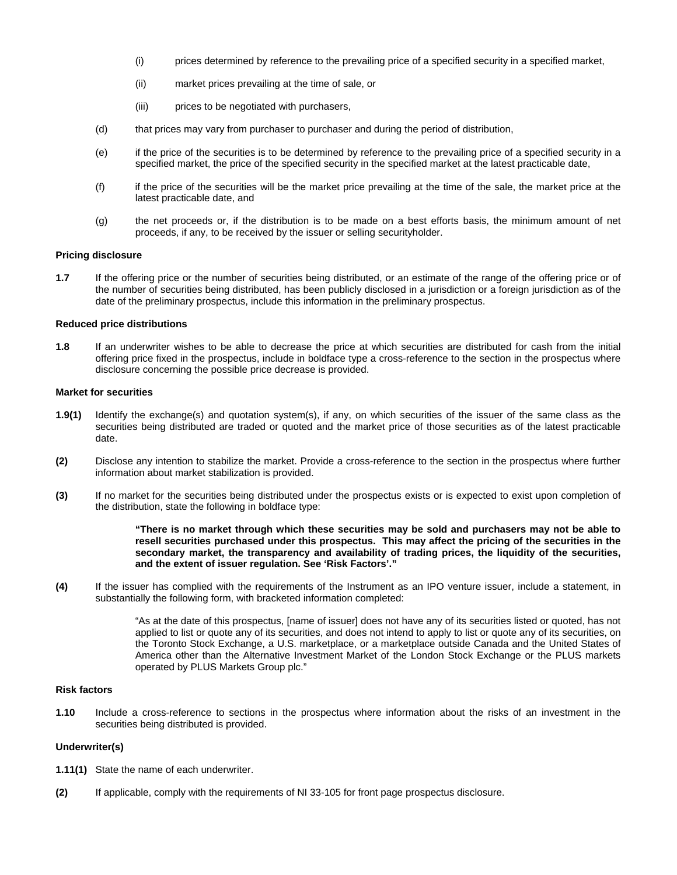- (i) prices determined by reference to the prevailing price of a specified security in a specified market,
- (ii) market prices prevailing at the time of sale, or
- (iii) prices to be negotiated with purchasers,
- (d) that prices may vary from purchaser to purchaser and during the period of distribution,
- (e) if the price of the securities is to be determined by reference to the prevailing price of a specified security in a specified market, the price of the specified security in the specified market at the latest practicable date,
- (f) if the price of the securities will be the market price prevailing at the time of the sale, the market price at the latest practicable date, and
- (g) the net proceeds or, if the distribution is to be made on a best efforts basis, the minimum amount of net proceeds, if any, to be received by the issuer or selling securityholder.

# **Pricing disclosure**

**1.7** If the offering price or the number of securities being distributed, or an estimate of the range of the offering price or of the number of securities being distributed, has been publicly disclosed in a jurisdiction or a foreign jurisdiction as of the date of the preliminary prospectus, include this information in the preliminary prospectus.

#### **Reduced price distributions**

**1.8** If an underwriter wishes to be able to decrease the price at which securities are distributed for cash from the initial offering price fixed in the prospectus, include in boldface type a cross-reference to the section in the prospectus where disclosure concerning the possible price decrease is provided.

## **Market for securities**

- **1.9(1)** Identify the exchange(s) and quotation system(s), if any, on which securities of the issuer of the same class as the securities being distributed are traded or quoted and the market price of those securities as of the latest practicable date.
- **(2)** Disclose any intention to stabilize the market. Provide a cross-reference to the section in the prospectus where further information about market stabilization is provided.
- **(3)** If no market for the securities being distributed under the prospectus exists or is expected to exist upon completion of the distribution, state the following in boldface type:

**"There is no market through which these securities may be sold and purchasers may not be able to resell securities purchased under this prospectus. This may affect the pricing of the securities in the secondary market, the transparency and availability of trading prices, the liquidity of the securities, and the extent of issuer regulation. See 'Risk Factors'."** 

**(4)** If the issuer has complied with the requirements of the Instrument as an IPO venture issuer, include a statement, in substantially the following form, with bracketed information completed:

> "As at the date of this prospectus, [name of issuer] does not have any of its securities listed or quoted, has not applied to list or quote any of its securities, and does not intend to apply to list or quote any of its securities, on the Toronto Stock Exchange, a U.S. marketplace, or a marketplace outside Canada and the United States of America other than the Alternative Investment Market of the London Stock Exchange or the PLUS markets operated by PLUS Markets Group plc."

# **Risk factors**

**1.10** Include a cross-reference to sections in the prospectus where information about the risks of an investment in the securities being distributed is provided.

## **Underwriter(s)**

- **1.11(1)** State the name of each underwriter.
- **(2)** If applicable, comply with the requirements of NI 33-105 for front page prospectus disclosure.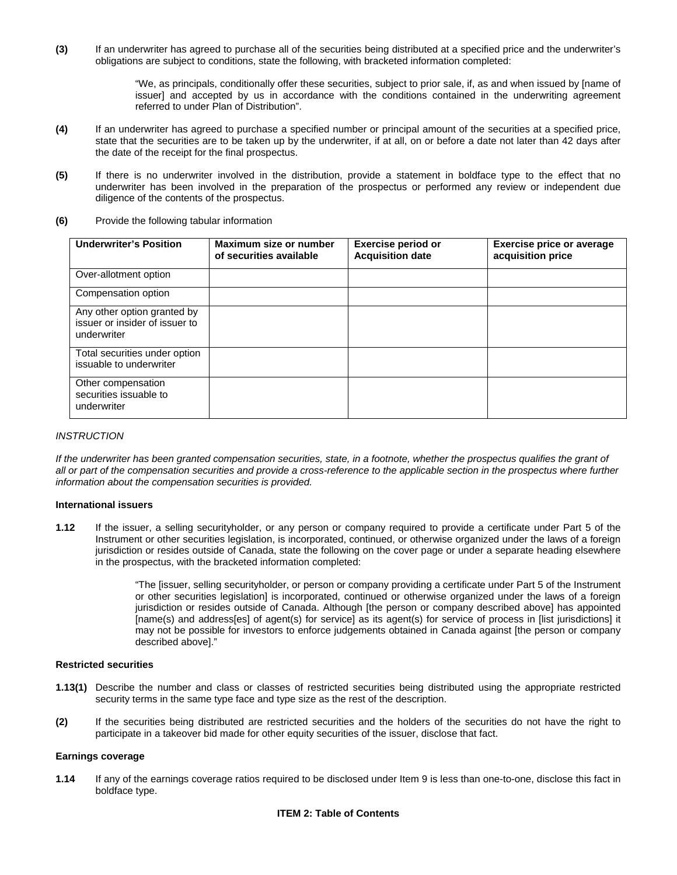**(3)** If an underwriter has agreed to purchase all of the securities being distributed at a specified price and the underwriter's obligations are subject to conditions, state the following, with bracketed information completed:

> "We, as principals, conditionally offer these securities, subject to prior sale, if, as and when issued by [name of issuer] and accepted by us in accordance with the conditions contained in the underwriting agreement referred to under Plan of Distribution".

- **(4)** If an underwriter has agreed to purchase a specified number or principal amount of the securities at a specified price, state that the securities are to be taken up by the underwriter, if at all, on or before a date not later than 42 days after the date of the receipt for the final prospectus.
- **(5)** If there is no underwriter involved in the distribution, provide a statement in boldface type to the effect that no underwriter has been involved in the preparation of the prospectus or performed any review or independent due diligence of the contents of the prospectus.
- **(6)** Provide the following tabular information

| <b>Underwriter's Position</b>                                                | Maximum size or number<br>of securities available | <b>Exercise period or</b><br><b>Acquisition date</b> | <b>Exercise price or average</b><br>acquisition price |
|------------------------------------------------------------------------------|---------------------------------------------------|------------------------------------------------------|-------------------------------------------------------|
| Over-allotment option                                                        |                                                   |                                                      |                                                       |
| Compensation option                                                          |                                                   |                                                      |                                                       |
| Any other option granted by<br>issuer or insider of issuer to<br>underwriter |                                                   |                                                      |                                                       |
| Total securities under option<br>issuable to underwriter                     |                                                   |                                                      |                                                       |
| Other compensation<br>securities issuable to<br>underwriter                  |                                                   |                                                      |                                                       |

# *INSTRUCTION*

*If the underwriter has been granted compensation securities, state, in a footnote, whether the prospectus qualifies the grant of all or part of the compensation securities and provide a cross-reference to the applicable section in the prospectus where further information about the compensation securities is provided.* 

# **International issuers**

**1.12** If the issuer, a selling securityholder, or any person or company required to provide a certificate under Part 5 of the Instrument or other securities legislation, is incorporated, continued, or otherwise organized under the laws of a foreign jurisdiction or resides outside of Canada, state the following on the cover page or under a separate heading elsewhere in the prospectus, with the bracketed information completed:

> "The [issuer, selling securityholder, or person or company providing a certificate under Part 5 of the Instrument or other securities legislation] is incorporated, continued or otherwise organized under the laws of a foreign jurisdiction or resides outside of Canada. Although [the person or company described above] has appointed [name(s) and address[es] of agent(s) for service] as its agent(s) for service of process in [list jurisdictions] it may not be possible for investors to enforce judgements obtained in Canada against [the person or company described above]."

# **Restricted securities**

- **1.13(1)** Describe the number and class or classes of restricted securities being distributed using the appropriate restricted security terms in the same type face and type size as the rest of the description.
- **(2)** If the securities being distributed are restricted securities and the holders of the securities do not have the right to participate in a takeover bid made for other equity securities of the issuer, disclose that fact.

# **Earnings coverage**

**1.14** If any of the earnings coverage ratios required to be disclosed under Item 9 is less than one-to-one, disclose this fact in boldface type.

# **ITEM 2: Table of Contents**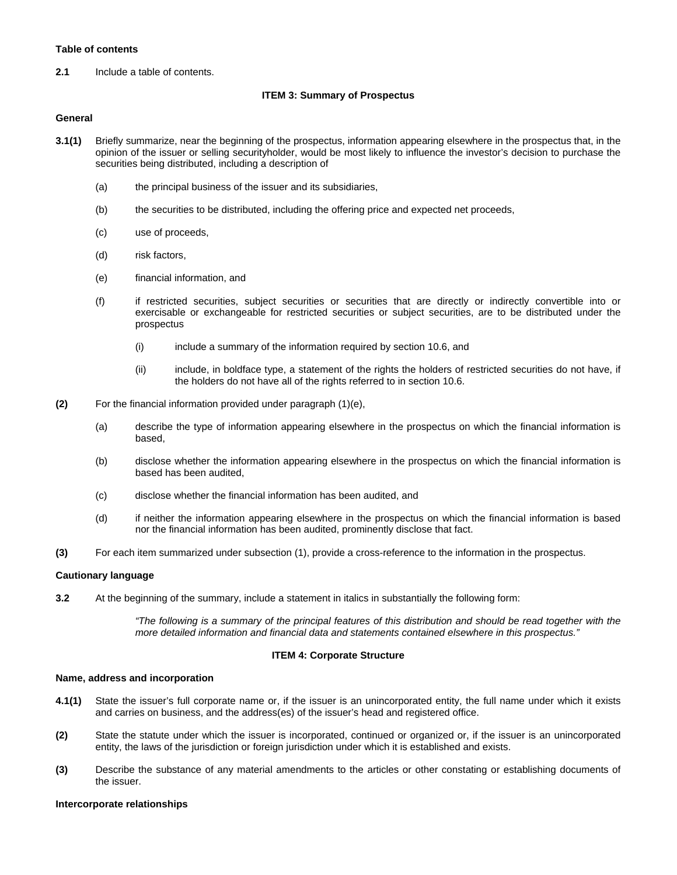## **Table of contents**

**2.1** Include a table of contents.

## **ITEM 3: Summary of Prospectus**

## **General**

- **3.1(1)** Briefly summarize, near the beginning of the prospectus, information appearing elsewhere in the prospectus that, in the opinion of the issuer or selling securityholder, would be most likely to influence the investor's decision to purchase the securities being distributed, including a description of
	- (a) the principal business of the issuer and its subsidiaries,
	- (b) the securities to be distributed, including the offering price and expected net proceeds,
	- (c) use of proceeds,
	- (d) risk factors,
	- (e) financial information, and
	- (f) if restricted securities, subject securities or securities that are directly or indirectly convertible into or exercisable or exchangeable for restricted securities or subject securities, are to be distributed under the prospectus
		- (i) include a summary of the information required by section 10.6, and
		- (ii) include, in boldface type, a statement of the rights the holders of restricted securities do not have, if the holders do not have all of the rights referred to in section 10.6.
- **(2)** For the financial information provided under paragraph (1)(e),
	- (a) describe the type of information appearing elsewhere in the prospectus on which the financial information is based,
	- (b) disclose whether the information appearing elsewhere in the prospectus on which the financial information is based has been audited,
	- (c) disclose whether the financial information has been audited, and
	- (d) if neither the information appearing elsewhere in the prospectus on which the financial information is based nor the financial information has been audited, prominently disclose that fact.
- **(3)** For each item summarized under subsection (1), provide a cross-reference to the information in the prospectus.

# **Cautionary language**

**3.2** At the beginning of the summary, include a statement in italics in substantially the following form:

*"The following is a summary of the principal features of this distribution and should be read together with the more detailed information and financial data and statements contained elsewhere in this prospectus."* 

## **ITEM 4: Corporate Structure**

#### **Name, address and incorporation**

- **4.1(1)** State the issuer's full corporate name or, if the issuer is an unincorporated entity, the full name under which it exists and carries on business, and the address(es) of the issuer's head and registered office.
- **(2)** State the statute under which the issuer is incorporated, continued or organized or, if the issuer is an unincorporated entity, the laws of the jurisdiction or foreign jurisdiction under which it is established and exists.
- **(3)** Describe the substance of any material amendments to the articles or other constating or establishing documents of the issuer.

#### **Intercorporate relationships**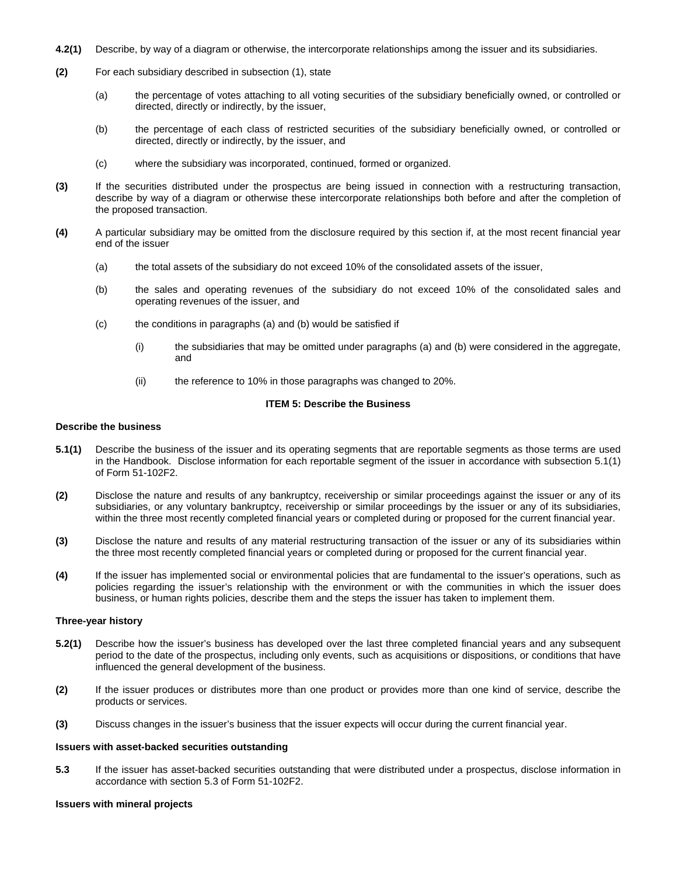- **4.2(1)** Describe, by way of a diagram or otherwise, the intercorporate relationships among the issuer and its subsidiaries.
- **(2)** For each subsidiary described in subsection (1), state
	- (a) the percentage of votes attaching to all voting securities of the subsidiary beneficially owned, or controlled or directed, directly or indirectly, by the issuer,
	- (b) the percentage of each class of restricted securities of the subsidiary beneficially owned, or controlled or directed, directly or indirectly, by the issuer, and
	- (c) where the subsidiary was incorporated, continued, formed or organized.
- **(3)** If the securities distributed under the prospectus are being issued in connection with a restructuring transaction, describe by way of a diagram or otherwise these intercorporate relationships both before and after the completion of the proposed transaction.
- **(4)** A particular subsidiary may be omitted from the disclosure required by this section if, at the most recent financial year end of the issuer
	- (a) the total assets of the subsidiary do not exceed 10% of the consolidated assets of the issuer,
	- (b) the sales and operating revenues of the subsidiary do not exceed 10% of the consolidated sales and operating revenues of the issuer, and
	- (c) the conditions in paragraphs (a) and (b) would be satisfied if
		- (i) the subsidiaries that may be omitted under paragraphs (a) and (b) were considered in the aggregate, and
		- (ii) the reference to 10% in those paragraphs was changed to 20%.

## **ITEM 5: Describe the Business**

# **Describe the business**

- **5.1(1)** Describe the business of the issuer and its operating segments that are reportable segments as those terms are used in the Handbook. Disclose information for each reportable segment of the issuer in accordance with subsection 5.1(1) of Form 51-102F2.
- **(2)** Disclose the nature and results of any bankruptcy, receivership or similar proceedings against the issuer or any of its subsidiaries, or any voluntary bankruptcy, receivership or similar proceedings by the issuer or any of its subsidiaries, within the three most recently completed financial years or completed during or proposed for the current financial year.
- **(3)** Disclose the nature and results of any material restructuring transaction of the issuer or any of its subsidiaries within the three most recently completed financial years or completed during or proposed for the current financial year.
- **(4)** If the issuer has implemented social or environmental policies that are fundamental to the issuer's operations, such as policies regarding the issuer's relationship with the environment or with the communities in which the issuer does business, or human rights policies, describe them and the steps the issuer has taken to implement them.

## **Three-year history**

- **5.2(1)** Describe how the issuer's business has developed over the last three completed financial years and any subsequent period to the date of the prospectus, including only events, such as acquisitions or dispositions, or conditions that have influenced the general development of the business.
- **(2)** If the issuer produces or distributes more than one product or provides more than one kind of service, describe the products or services.
- **(3)** Discuss changes in the issuer's business that the issuer expects will occur during the current financial year.

## **Issuers with asset-backed securities outstanding**

**5.3** If the issuer has asset-backed securities outstanding that were distributed under a prospectus, disclose information in accordance with section 5.3 of Form 51-102F2.

#### **Issuers with mineral projects**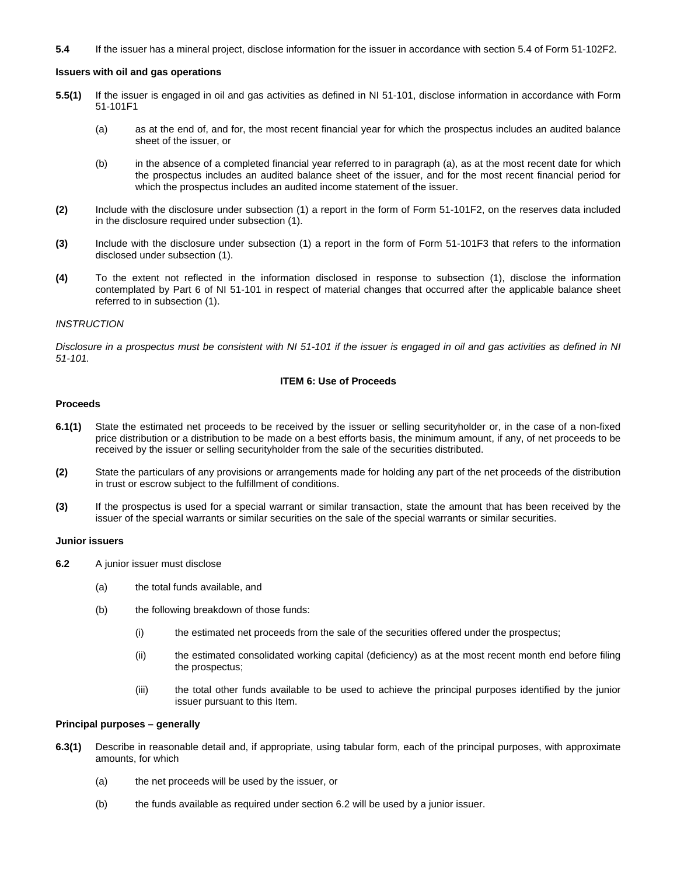**5.4** If the issuer has a mineral project, disclose information for the issuer in accordance with section 5.4 of Form 51-102F2.

### **Issuers with oil and gas operations**

- **5.5(1)** If the issuer is engaged in oil and gas activities as defined in NI 51-101, disclose information in accordance with Form 51-101F1
	- (a) as at the end of, and for, the most recent financial year for which the prospectus includes an audited balance sheet of the issuer, or
	- (b) in the absence of a completed financial year referred to in paragraph (a), as at the most recent date for which the prospectus includes an audited balance sheet of the issuer, and for the most recent financial period for which the prospectus includes an audited income statement of the issuer.
- **(2)** Include with the disclosure under subsection (1) a report in the form of Form 51-101F2, on the reserves data included in the disclosure required under subsection (1).
- **(3)** Include with the disclosure under subsection (1) a report in the form of Form 51-101F3 that refers to the information disclosed under subsection (1).
- **(4)** To the extent not reflected in the information disclosed in response to subsection (1), disclose the information contemplated by Part 6 of NI 51-101 in respect of material changes that occurred after the applicable balance sheet referred to in subsection (1).

#### *INSTRUCTION*

*Disclosure in a prospectus must be consistent with NI 51-101 if the issuer is engaged in oil and gas activities as defined in NI 51-101.* 

## **ITEM 6: Use of Proceeds**

#### **Proceeds**

- **6.1(1)** State the estimated net proceeds to be received by the issuer or selling securityholder or, in the case of a non-fixed price distribution or a distribution to be made on a best efforts basis, the minimum amount, if any, of net proceeds to be received by the issuer or selling securityholder from the sale of the securities distributed.
- **(2)** State the particulars of any provisions or arrangements made for holding any part of the net proceeds of the distribution in trust or escrow subject to the fulfillment of conditions.
- **(3)** If the prospectus is used for a special warrant or similar transaction, state the amount that has been received by the issuer of the special warrants or similar securities on the sale of the special warrants or similar securities.

# **Junior issuers**

- **6.2** A junior issuer must disclose
	- (a) the total funds available, and
	- (b) the following breakdown of those funds:
		- (i) the estimated net proceeds from the sale of the securities offered under the prospectus;
		- (ii) the estimated consolidated working capital (deficiency) as at the most recent month end before filing the prospectus;
		- (iii) the total other funds available to be used to achieve the principal purposes identified by the junior issuer pursuant to this Item.

## **Principal purposes – generally**

- **6.3(1)** Describe in reasonable detail and, if appropriate, using tabular form, each of the principal purposes, with approximate amounts, for which
	- (a) the net proceeds will be used by the issuer, or
	- (b) the funds available as required under section 6.2 will be used by a junior issuer.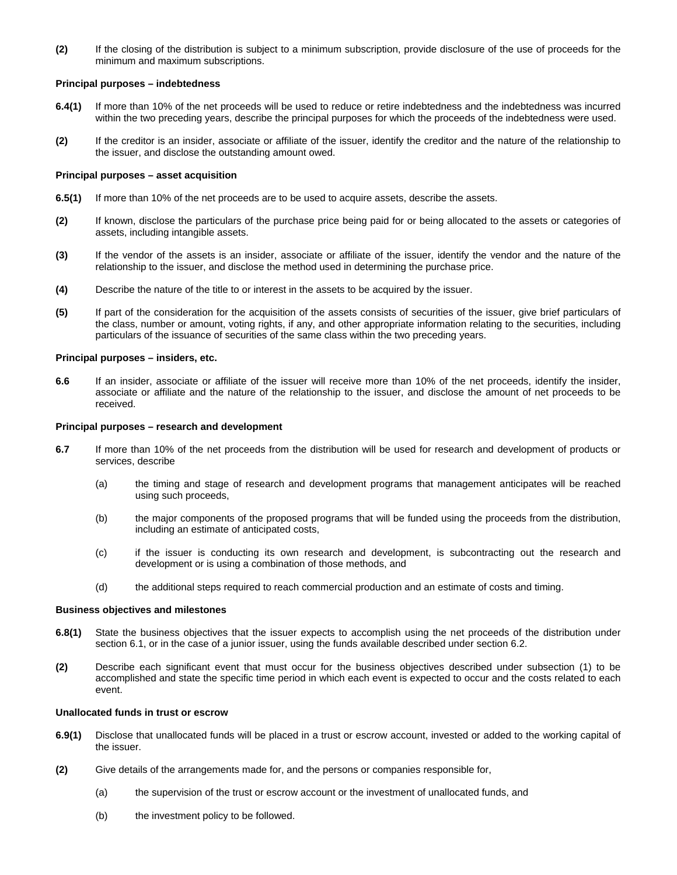**(2)** If the closing of the distribution is subject to a minimum subscription, provide disclosure of the use of proceeds for the minimum and maximum subscriptions.

## **Principal purposes – indebtedness**

- **6.4(1)** If more than 10% of the net proceeds will be used to reduce or retire indebtedness and the indebtedness was incurred within the two preceding years, describe the principal purposes for which the proceeds of the indebtedness were used.
- **(2)** If the creditor is an insider, associate or affiliate of the issuer, identify the creditor and the nature of the relationship to the issuer, and disclose the outstanding amount owed.

## **Principal purposes – asset acquisition**

- **6.5(1)** If more than 10% of the net proceeds are to be used to acquire assets, describe the assets.
- **(2)** If known, disclose the particulars of the purchase price being paid for or being allocated to the assets or categories of assets, including intangible assets.
- **(3)** If the vendor of the assets is an insider, associate or affiliate of the issuer, identify the vendor and the nature of the relationship to the issuer, and disclose the method used in determining the purchase price.
- **(4)** Describe the nature of the title to or interest in the assets to be acquired by the issuer.
- **(5)** If part of the consideration for the acquisition of the assets consists of securities of the issuer, give brief particulars of the class, number or amount, voting rights, if any, and other appropriate information relating to the securities, including particulars of the issuance of securities of the same class within the two preceding years.

# **Principal purposes – insiders, etc.**

**6.6** If an insider, associate or affiliate of the issuer will receive more than 10% of the net proceeds, identify the insider, associate or affiliate and the nature of the relationship to the issuer, and disclose the amount of net proceeds to be received.

#### **Principal purposes – research and development**

- **6.7** If more than 10% of the net proceeds from the distribution will be used for research and development of products or services, describe
	- (a) the timing and stage of research and development programs that management anticipates will be reached using such proceeds,
	- (b) the major components of the proposed programs that will be funded using the proceeds from the distribution, including an estimate of anticipated costs,
	- (c) if the issuer is conducting its own research and development, is subcontracting out the research and development or is using a combination of those methods, and
	- (d) the additional steps required to reach commercial production and an estimate of costs and timing.

#### **Business objectives and milestones**

- **6.8(1)** State the business objectives that the issuer expects to accomplish using the net proceeds of the distribution under section 6.1, or in the case of a junior issuer, using the funds available described under section 6.2.
- **(2)** Describe each significant event that must occur for the business objectives described under subsection (1) to be accomplished and state the specific time period in which each event is expected to occur and the costs related to each event.

# **Unallocated funds in trust or escrow**

- **6.9(1)** Disclose that unallocated funds will be placed in a trust or escrow account, invested or added to the working capital of the issuer.
- **(2)** Give details of the arrangements made for, and the persons or companies responsible for,
	- (a) the supervision of the trust or escrow account or the investment of unallocated funds, and
	- (b) the investment policy to be followed.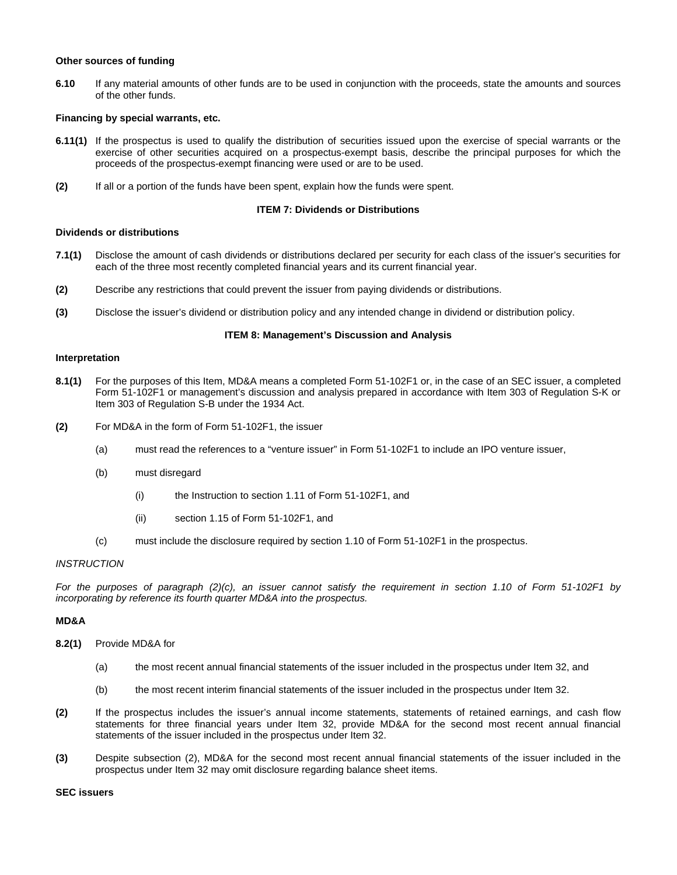## **Other sources of funding**

**6.10** If any material amounts of other funds are to be used in conjunction with the proceeds, state the amounts and sources of the other funds.

## **Financing by special warrants, etc.**

- **6.11(1)** If the prospectus is used to qualify the distribution of securities issued upon the exercise of special warrants or the exercise of other securities acquired on a prospectus-exempt basis, describe the principal purposes for which the proceeds of the prospectus-exempt financing were used or are to be used.
- **(2)** If all or a portion of the funds have been spent, explain how the funds were spent.

## **ITEM 7: Dividends or Distributions**

#### **Dividends or distributions**

- **7.1(1)** Disclose the amount of cash dividends or distributions declared per security for each class of the issuer's securities for each of the three most recently completed financial years and its current financial year.
- **(2)** Describe any restrictions that could prevent the issuer from paying dividends or distributions.
- **(3)** Disclose the issuer's dividend or distribution policy and any intended change in dividend or distribution policy.

## **ITEM 8: Management's Discussion and Analysis**

#### **Interpretation**

- **8.1(1)** For the purposes of this Item, MD&A means a completed Form 51-102F1 or, in the case of an SEC issuer, a completed Form 51-102F1 or management's discussion and analysis prepared in accordance with Item 303 of Regulation S-K or Item 303 of Regulation S-B under the 1934 Act.
- **(2)** For MD&A in the form of Form 51-102F1, the issuer
	- (a) must read the references to a "venture issuer" in Form 51-102F1 to include an IPO venture issuer,
	- (b) must disregard
		- (i) the Instruction to section 1.11 of Form 51-102F1, and
		- (ii) section 1.15 of Form 51-102F1, and
	- (c) must include the disclosure required by section 1.10 of Form 51-102F1 in the prospectus.

# *INSTRUCTION*

*For the purposes of paragraph (2)(c), an issuer cannot satisfy the requirement in section 1.10 of Form 51-102F1 by incorporating by reference its fourth quarter MD&A into the prospectus.* 

# **MD&A**

- **8.2(1)** Provide MD&A for
	- (a) the most recent annual financial statements of the issuer included in the prospectus under Item 32, and
	- (b) the most recent interim financial statements of the issuer included in the prospectus under Item 32.
- **(2)** If the prospectus includes the issuer's annual income statements, statements of retained earnings, and cash flow statements for three financial years under Item 32, provide MD&A for the second most recent annual financial statements of the issuer included in the prospectus under Item 32.
- **(3)** Despite subsection (2), MD&A for the second most recent annual financial statements of the issuer included in the prospectus under Item 32 may omit disclosure regarding balance sheet items.

**SEC issuers**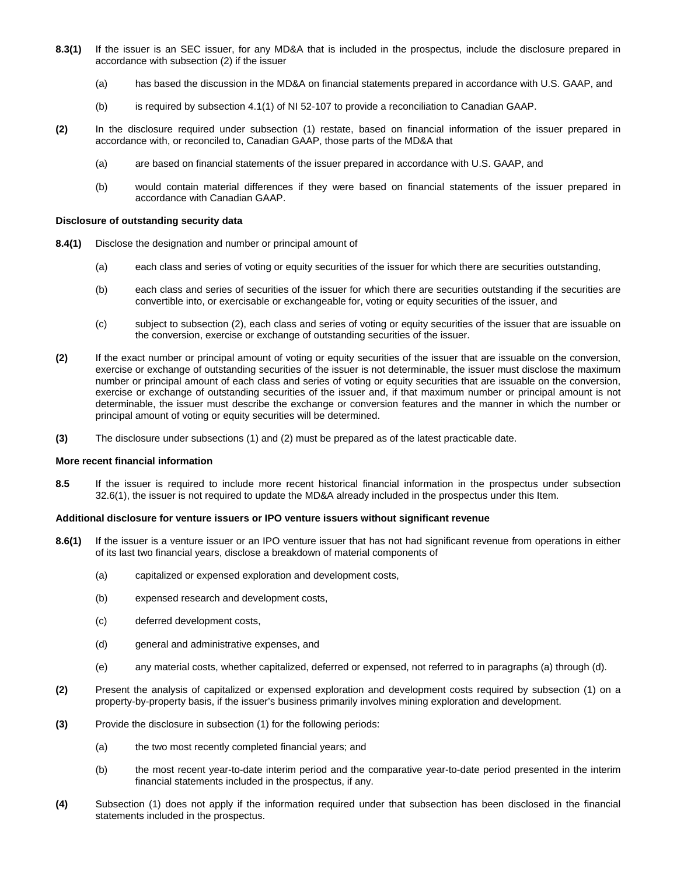- **8.3(1)** If the issuer is an SEC issuer, for any MD&A that is included in the prospectus, include the disclosure prepared in accordance with subsection (2) if the issuer
	- (a) has based the discussion in the MD&A on financial statements prepared in accordance with U.S. GAAP, and
	- (b) is required by subsection 4.1(1) of NI 52-107 to provide a reconciliation to Canadian GAAP.
- **(2)** In the disclosure required under subsection (1) restate, based on financial information of the issuer prepared in accordance with, or reconciled to, Canadian GAAP, those parts of the MD&A that
	- (a) are based on financial statements of the issuer prepared in accordance with U.S. GAAP, and
	- (b) would contain material differences if they were based on financial statements of the issuer prepared in accordance with Canadian GAAP.

## **Disclosure of outstanding security data**

- **8.4(1)** Disclose the designation and number or principal amount of
	- (a) each class and series of voting or equity securities of the issuer for which there are securities outstanding,
	- (b) each class and series of securities of the issuer for which there are securities outstanding if the securities are convertible into, or exercisable or exchangeable for, voting or equity securities of the issuer, and
	- (c) subject to subsection (2), each class and series of voting or equity securities of the issuer that are issuable on the conversion, exercise or exchange of outstanding securities of the issuer.
- **(2)** If the exact number or principal amount of voting or equity securities of the issuer that are issuable on the conversion, exercise or exchange of outstanding securities of the issuer is not determinable, the issuer must disclose the maximum number or principal amount of each class and series of voting or equity securities that are issuable on the conversion, exercise or exchange of outstanding securities of the issuer and, if that maximum number or principal amount is not determinable, the issuer must describe the exchange or conversion features and the manner in which the number or principal amount of voting or equity securities will be determined.
- **(3)** The disclosure under subsections (1) and (2) must be prepared as of the latest practicable date.

#### **More recent financial information**

**8.5** If the issuer is required to include more recent historical financial information in the prospectus under subsection 32.6(1), the issuer is not required to update the MD&A already included in the prospectus under this Item.

## **Additional disclosure for venture issuers or IPO venture issuers without significant revenue**

- **8.6(1)** If the issuer is a venture issuer or an IPO venture issuer that has not had significant revenue from operations in either of its last two financial years, disclose a breakdown of material components of
	- (a) capitalized or expensed exploration and development costs,
	- (b) expensed research and development costs,
	- (c) deferred development costs,
	- (d) general and administrative expenses, and
	- (e) any material costs, whether capitalized, deferred or expensed, not referred to in paragraphs (a) through (d).
- **(2)** Present the analysis of capitalized or expensed exploration and development costs required by subsection (1) on a property-by-property basis, if the issuer's business primarily involves mining exploration and development.
- **(3)** Provide the disclosure in subsection (1) for the following periods:
	- (a) the two most recently completed financial years; and
	- (b) the most recent year-to-date interim period and the comparative year-to-date period presented in the interim financial statements included in the prospectus, if any.
- **(4)** Subsection (1) does not apply if the information required under that subsection has been disclosed in the financial statements included in the prospectus.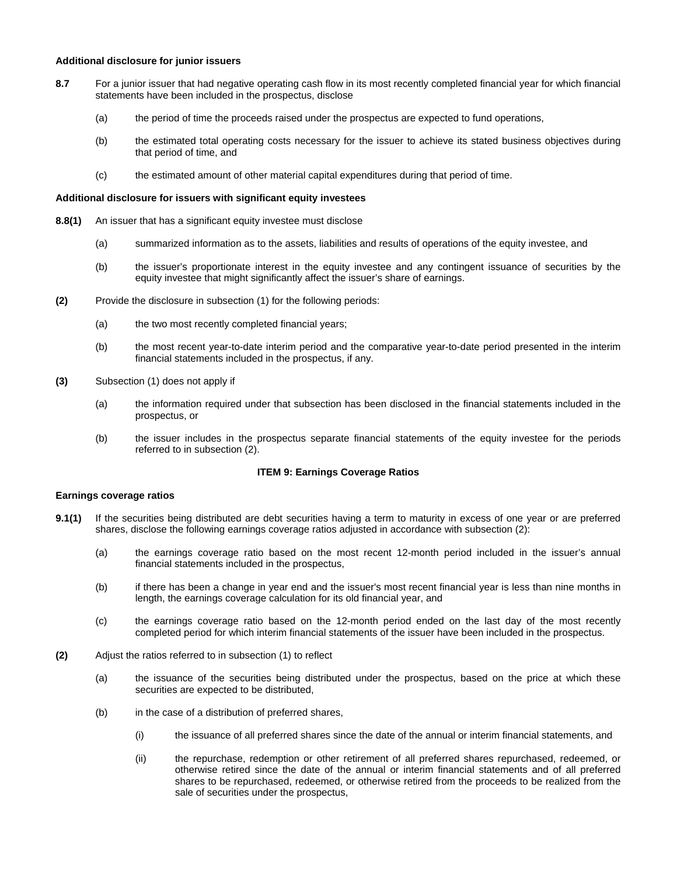## **Additional disclosure for junior issuers**

- **8.7** For a junior issuer that had negative operating cash flow in its most recently completed financial year for which financial statements have been included in the prospectus, disclose
	- (a) the period of time the proceeds raised under the prospectus are expected to fund operations,
	- (b) the estimated total operating costs necessary for the issuer to achieve its stated business objectives during that period of time, and
	- (c) the estimated amount of other material capital expenditures during that period of time.

#### **Additional disclosure for issuers with significant equity investees**

- **8.8(1)** An issuer that has a significant equity investee must disclose
	- (a) summarized information as to the assets, liabilities and results of operations of the equity investee, and
	- (b) the issuer's proportionate interest in the equity investee and any contingent issuance of securities by the equity investee that might significantly affect the issuer's share of earnings.
- **(2)** Provide the disclosure in subsection (1) for the following periods:
	- (a) the two most recently completed financial years;
	- (b) the most recent year-to-date interim period and the comparative year-to-date period presented in the interim financial statements included in the prospectus, if any.
- **(3)** Subsection (1) does not apply if
	- (a) the information required under that subsection has been disclosed in the financial statements included in the prospectus, or
	- (b) the issuer includes in the prospectus separate financial statements of the equity investee for the periods referred to in subsection (2).

# **ITEM 9: Earnings Coverage Ratios**

#### **Earnings coverage ratios**

- **9.1(1)** If the securities being distributed are debt securities having a term to maturity in excess of one year or are preferred shares, disclose the following earnings coverage ratios adjusted in accordance with subsection (2):
	- (a) the earnings coverage ratio based on the most recent 12-month period included in the issuer's annual financial statements included in the prospectus,
	- (b) if there has been a change in year end and the issuer's most recent financial year is less than nine months in length, the earnings coverage calculation for its old financial year, and
	- (c) the earnings coverage ratio based on the 12-month period ended on the last day of the most recently completed period for which interim financial statements of the issuer have been included in the prospectus.
- **(2)** Adjust the ratios referred to in subsection (1) to reflect
	- (a) the issuance of the securities being distributed under the prospectus, based on the price at which these securities are expected to be distributed,
	- (b) in the case of a distribution of preferred shares,
		- (i) the issuance of all preferred shares since the date of the annual or interim financial statements, and
		- (ii) the repurchase, redemption or other retirement of all preferred shares repurchased, redeemed, or otherwise retired since the date of the annual or interim financial statements and of all preferred shares to be repurchased, redeemed, or otherwise retired from the proceeds to be realized from the sale of securities under the prospectus,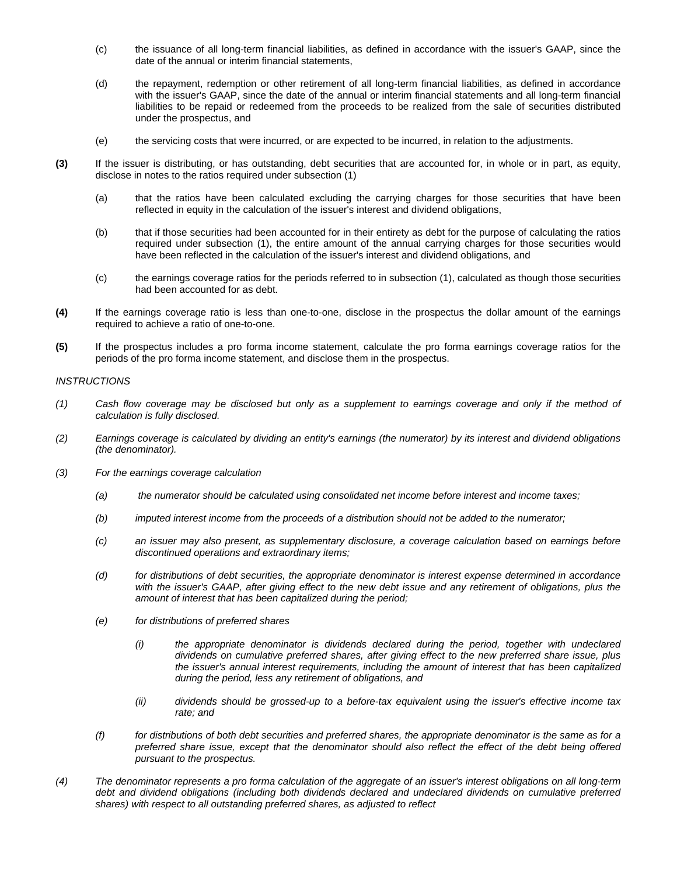- (c) the issuance of all long-term financial liabilities, as defined in accordance with the issuer's GAAP, since the date of the annual or interim financial statements,
- (d) the repayment, redemption or other retirement of all long-term financial liabilities, as defined in accordance with the issuer's GAAP, since the date of the annual or interim financial statements and all long-term financial liabilities to be repaid or redeemed from the proceeds to be realized from the sale of securities distributed under the prospectus, and
- (e) the servicing costs that were incurred, or are expected to be incurred, in relation to the adjustments.
- **(3)** If the issuer is distributing, or has outstanding, debt securities that are accounted for, in whole or in part, as equity, disclose in notes to the ratios required under subsection (1)
	- (a) that the ratios have been calculated excluding the carrying charges for those securities that have been reflected in equity in the calculation of the issuer's interest and dividend obligations,
	- (b) that if those securities had been accounted for in their entirety as debt for the purpose of calculating the ratios required under subsection (1), the entire amount of the annual carrying charges for those securities would have been reflected in the calculation of the issuer's interest and dividend obligations, and
	- (c) the earnings coverage ratios for the periods referred to in subsection (1), calculated as though those securities had been accounted for as debt.
- **(4)** If the earnings coverage ratio is less than one-to-one, disclose in the prospectus the dollar amount of the earnings required to achieve a ratio of one-to-one.
- **(5)** If the prospectus includes a pro forma income statement, calculate the pro forma earnings coverage ratios for the periods of the pro forma income statement, and disclose them in the prospectus.

## *INSTRUCTIONS*

- *(1) Cash flow coverage may be disclosed but only as a supplement to earnings coverage and only if the method of calculation is fully disclosed.*
- *(2) Earnings coverage is calculated by dividing an entity's earnings (the numerator) by its interest and dividend obligations (the denominator).*
- *(3) For the earnings coverage calculation* 
	- *(a) the numerator should be calculated using consolidated net income before interest and income taxes;*
	- *(b) imputed interest income from the proceeds of a distribution should not be added to the numerator;*
	- *(c) an issuer may also present, as supplementary disclosure, a coverage calculation based on earnings before discontinued operations and extraordinary items;*
	- *(d) for distributions of debt securities, the appropriate denominator is interest expense determined in accordance*  with the issuer's GAAP, after giving effect to the new debt issue and any retirement of obligations, plus the *amount of interest that has been capitalized during the period;*
	- *(e) for distributions of preferred shares* 
		- *(i) the appropriate denominator is dividends declared during the period, together with undeclared dividends on cumulative preferred shares, after giving effect to the new preferred share issue, plus the issuer's annual interest requirements, including the amount of interest that has been capitalized during the period, less any retirement of obligations, and*
		- *(ii) dividends should be grossed-up to a before-tax equivalent using the issuer's effective income tax rate; and*
	- *(f) for distributions of both debt securities and preferred shares, the appropriate denominator is the same as for a preferred share issue, except that the denominator should also reflect the effect of the debt being offered pursuant to the prospectus.*
- *(4) The denominator represents a pro forma calculation of the aggregate of an issuer's interest obligations on all long-term debt and dividend obligations (including both dividends declared and undeclared dividends on cumulative preferred shares) with respect to all outstanding preferred shares, as adjusted to reflect*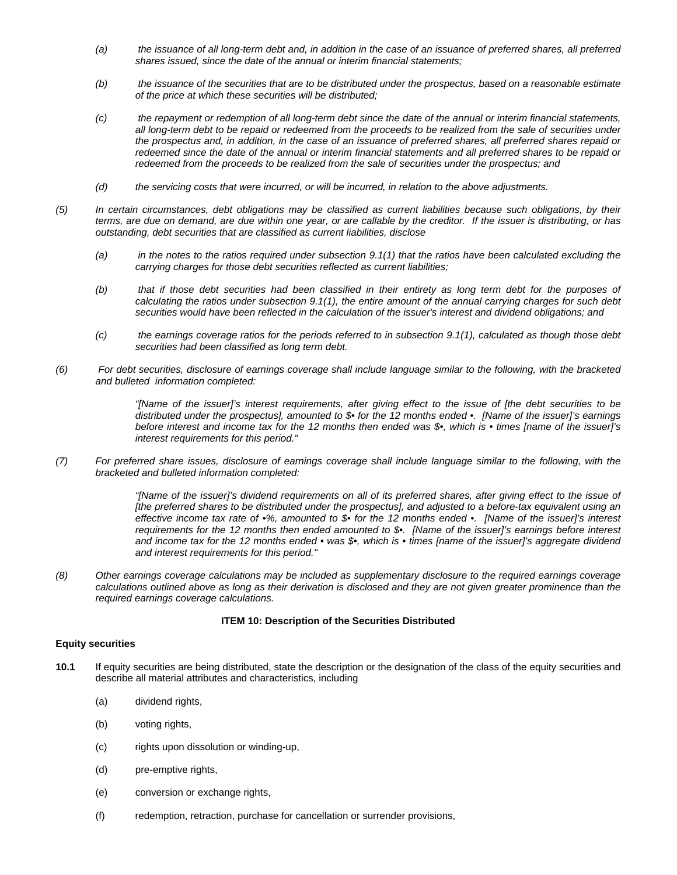- *(a) the issuance of all long-term debt and, in addition in the case of an issuance of preferred shares, all preferred shares issued, since the date of the annual or interim financial statements;*
- *(b) the issuance of the securities that are to be distributed under the prospectus, based on a reasonable estimate of the price at which these securities will be distributed;*
- *(c) the repayment or redemption of all long-term debt since the date of the annual or interim financial statements, all long-term debt to be repaid or redeemed from the proceeds to be realized from the sale of securities under the prospectus and, in addition, in the case of an issuance of preferred shares, all preferred shares repaid or*  redeemed since the date of the annual or interim financial statements and all preferred shares to be repaid or *redeemed from the proceeds to be realized from the sale of securities under the prospectus; and*
- *(d) the servicing costs that were incurred, or will be incurred, in relation to the above adjustments.*
- *(5) In certain circumstances, debt obligations may be classified as current liabilities because such obligations, by their terms, are due on demand, are due within one year, or are callable by the creditor. If the issuer is distributing, or has outstanding, debt securities that are classified as current liabilities, disclose* 
	- *(a) in the notes to the ratios required under subsection 9.1(1) that the ratios have been calculated excluding the carrying charges for those debt securities reflected as current liabilities;*
	- *(b) that if those debt securities had been classified in their entirety as long term debt for the purposes of calculating the ratios under subsection 9.1(1), the entire amount of the annual carrying charges for such debt*  securities would have been reflected in the calculation of the issuer's interest and dividend obligations; and
	- *(c) the earnings coverage ratios for the periods referred to in subsection 9.1(1), calculated as though those debt securities had been classified as long term debt.*
- *(6) For debt securities, disclosure of earnings coverage shall include language similar to the following, with the bracketed and bulleted information completed:*

*"[Name of the issuer]'s interest requirements, after giving effect to the issue of [the debt securities to be distributed under the prospectus], amounted to \$• for the 12 months ended •. [Name of the issuer]'s earnings before interest and income tax for the 12 months then ended was \$•, which is • times [name of the issuer]'s interest requirements for this period."* 

*(7) For preferred share issues, disclosure of earnings coverage shall include language similar to the following, with the bracketed and bulleted information completed:* 

> *"[Name of the issuer]'s dividend requirements on all of its preferred shares, after giving effect to the issue of [the preferred shares to be distributed under the prospectus], and adjusted to a before-tax equivalent using an effective income tax rate of •%, amounted to \$• for the 12 months ended •. [Name of the issuer]'s interest requirements for the 12 months then ended amounted to \$•. [Name of the issuer]'s earnings before interest and income tax for the 12 months ended • was \$•, which is • times [name of the issuer]'s aggregate dividend and interest requirements for this period."*

*(8) Other earnings coverage calculations may be included as supplementary disclosure to the required earnings coverage calculations outlined above as long as their derivation is disclosed and they are not given greater prominence than the required earnings coverage calculations.* 

# **ITEM 10: Description of the Securities Distributed**

# **Equity securities**

- **10.1** If equity securities are being distributed, state the description or the designation of the class of the equity securities and describe all material attributes and characteristics, including
	- (a) dividend rights,
	- (b) voting rights,
	- (c) rights upon dissolution or winding-up,
	- (d) pre-emptive rights,
	- (e) conversion or exchange rights,
	- (f) redemption, retraction, purchase for cancellation or surrender provisions,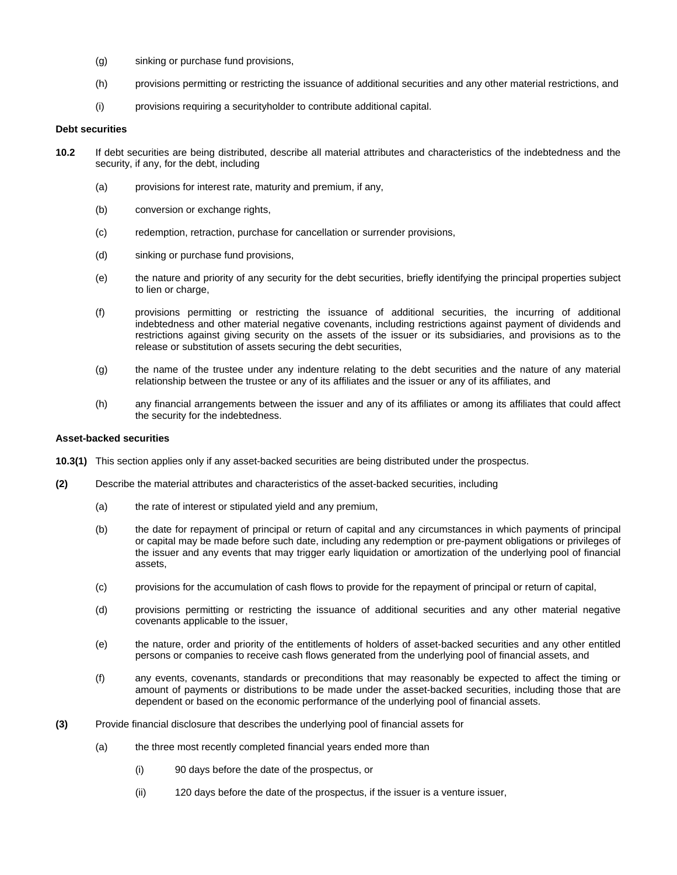- (g) sinking or purchase fund provisions,
- (h) provisions permitting or restricting the issuance of additional securities and any other material restrictions, and
- (i) provisions requiring a securityholder to contribute additional capital.

## **Debt securities**

- **10.2** If debt securities are being distributed, describe all material attributes and characteristics of the indebtedness and the security, if any, for the debt, including
	- (a) provisions for interest rate, maturity and premium, if any,
	- (b) conversion or exchange rights,
	- (c) redemption, retraction, purchase for cancellation or surrender provisions,
	- (d) sinking or purchase fund provisions,
	- (e) the nature and priority of any security for the debt securities, briefly identifying the principal properties subject to lien or charge,
	- (f) provisions permitting or restricting the issuance of additional securities, the incurring of additional indebtedness and other material negative covenants, including restrictions against payment of dividends and restrictions against giving security on the assets of the issuer or its subsidiaries, and provisions as to the release or substitution of assets securing the debt securities,
	- (g) the name of the trustee under any indenture relating to the debt securities and the nature of any material relationship between the trustee or any of its affiliates and the issuer or any of its affiliates, and
	- (h) any financial arrangements between the issuer and any of its affiliates or among its affiliates that could affect the security for the indebtedness.

## **Asset-backed securities**

- **10.3(1)** This section applies only if any asset-backed securities are being distributed under the prospectus.
- **(2)** Describe the material attributes and characteristics of the asset-backed securities, including
	- (a) the rate of interest or stipulated yield and any premium,
	- (b) the date for repayment of principal or return of capital and any circumstances in which payments of principal or capital may be made before such date, including any redemption or pre-payment obligations or privileges of the issuer and any events that may trigger early liquidation or amortization of the underlying pool of financial assets,
	- (c) provisions for the accumulation of cash flows to provide for the repayment of principal or return of capital,
	- (d) provisions permitting or restricting the issuance of additional securities and any other material negative covenants applicable to the issuer,
	- (e) the nature, order and priority of the entitlements of holders of asset-backed securities and any other entitled persons or companies to receive cash flows generated from the underlying pool of financial assets, and
	- (f) any events, covenants, standards or preconditions that may reasonably be expected to affect the timing or amount of payments or distributions to be made under the asset-backed securities, including those that are dependent or based on the economic performance of the underlying pool of financial assets.
- **(3)** Provide financial disclosure that describes the underlying pool of financial assets for
	- (a) the three most recently completed financial years ended more than
		- (i) 90 days before the date of the prospectus, or
		- (ii) 120 days before the date of the prospectus, if the issuer is a venture issuer,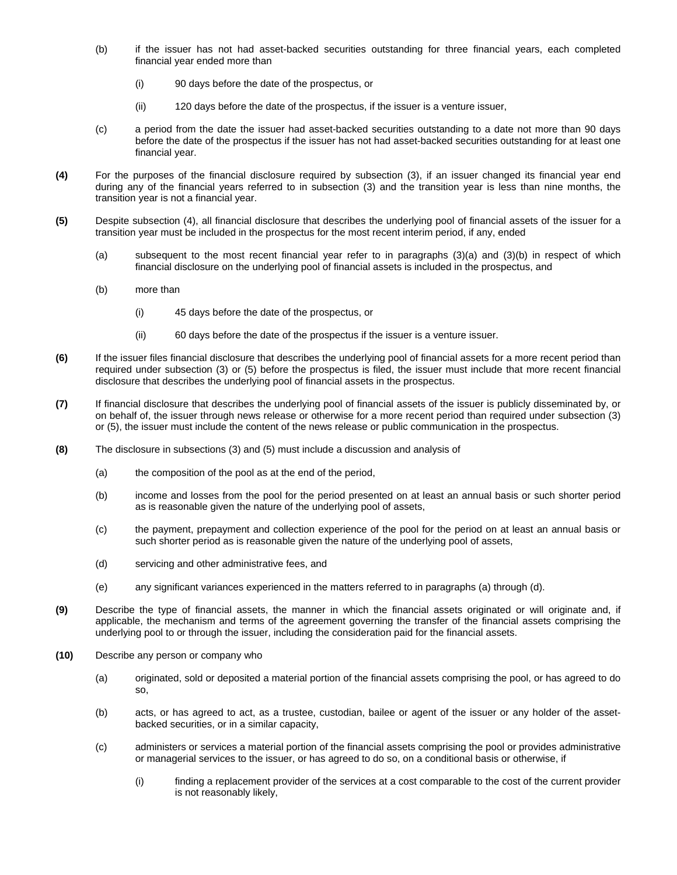- (b) if the issuer has not had asset-backed securities outstanding for three financial years, each completed financial year ended more than
	- (i) 90 days before the date of the prospectus, or
	- (ii) 120 days before the date of the prospectus, if the issuer is a venture issuer,
- (c) a period from the date the issuer had asset-backed securities outstanding to a date not more than 90 days before the date of the prospectus if the issuer has not had asset-backed securities outstanding for at least one financial year.
- **(4)** For the purposes of the financial disclosure required by subsection (3), if an issuer changed its financial year end during any of the financial years referred to in subsection (3) and the transition year is less than nine months, the transition year is not a financial year.
- **(5)** Despite subsection (4), all financial disclosure that describes the underlying pool of financial assets of the issuer for a transition year must be included in the prospectus for the most recent interim period, if any, ended
	- (a) subsequent to the most recent financial year refer to in paragraphs (3)(a) and (3)(b) in respect of which financial disclosure on the underlying pool of financial assets is included in the prospectus, and
	- (b) more than
		- (i) 45 days before the date of the prospectus, or
		- (ii) 60 days before the date of the prospectus if the issuer is a venture issuer.
- **(6)** If the issuer files financial disclosure that describes the underlying pool of financial assets for a more recent period than required under subsection (3) or (5) before the prospectus is filed, the issuer must include that more recent financial disclosure that describes the underlying pool of financial assets in the prospectus.
- **(7)** If financial disclosure that describes the underlying pool of financial assets of the issuer is publicly disseminated by, or on behalf of, the issuer through news release or otherwise for a more recent period than required under subsection (3) or (5), the issuer must include the content of the news release or public communication in the prospectus.
- **(8)** The disclosure in subsections (3) and (5) must include a discussion and analysis of
	- (a) the composition of the pool as at the end of the period,
	- (b) income and losses from the pool for the period presented on at least an annual basis or such shorter period as is reasonable given the nature of the underlying pool of assets,
	- (c) the payment, prepayment and collection experience of the pool for the period on at least an annual basis or such shorter period as is reasonable given the nature of the underlying pool of assets,
	- (d) servicing and other administrative fees, and
	- (e) any significant variances experienced in the matters referred to in paragraphs (a) through (d).
- **(9)** Describe the type of financial assets, the manner in which the financial assets originated or will originate and, if applicable, the mechanism and terms of the agreement governing the transfer of the financial assets comprising the underlying pool to or through the issuer, including the consideration paid for the financial assets.
- **(10)** Describe any person or company who
	- (a) originated, sold or deposited a material portion of the financial assets comprising the pool, or has agreed to do so,
	- (b) acts, or has agreed to act, as a trustee, custodian, bailee or agent of the issuer or any holder of the assetbacked securities, or in a similar capacity,
	- (c) administers or services a material portion of the financial assets comprising the pool or provides administrative or managerial services to the issuer, or has agreed to do so, on a conditional basis or otherwise, if
		- (i) finding a replacement provider of the services at a cost comparable to the cost of the current provider is not reasonably likely,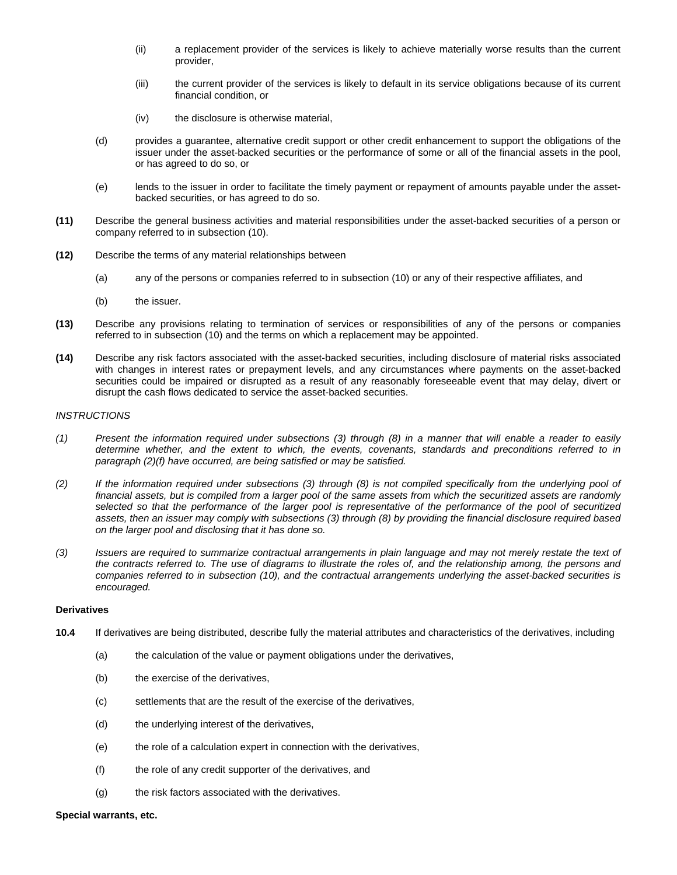- (ii) a replacement provider of the services is likely to achieve materially worse results than the current provider,
- (iii) the current provider of the services is likely to default in its service obligations because of its current financial condition, or
- (iv) the disclosure is otherwise material,
- (d) provides a guarantee, alternative credit support or other credit enhancement to support the obligations of the issuer under the asset-backed securities or the performance of some or all of the financial assets in the pool, or has agreed to do so, or
- (e) lends to the issuer in order to facilitate the timely payment or repayment of amounts payable under the assetbacked securities, or has agreed to do so.
- **(11)** Describe the general business activities and material responsibilities under the asset-backed securities of a person or company referred to in subsection (10).
- **(12)** Describe the terms of any material relationships between
	- (a) any of the persons or companies referred to in subsection (10) or any of their respective affiliates, and
	- (b) the issuer.
- **(13)** Describe any provisions relating to termination of services or responsibilities of any of the persons or companies referred to in subsection (10) and the terms on which a replacement may be appointed.
- **(14)** Describe any risk factors associated with the asset-backed securities, including disclosure of material risks associated with changes in interest rates or prepayment levels, and any circumstances where payments on the asset-backed securities could be impaired or disrupted as a result of any reasonably foreseeable event that may delay, divert or disrupt the cash flows dedicated to service the asset-backed securities.

## *INSTRUCTIONS*

- *(1) Present the information required under subsections (3) through (8) in a manner that will enable a reader to easily determine whether, and the extent to which, the events, covenants, standards and preconditions referred to in paragraph (2)(f) have occurred, are being satisfied or may be satisfied.*
- *(2) If the information required under subsections (3) through (8) is not compiled specifically from the underlying pool of financial assets, but is compiled from a larger pool of the same assets from which the securitized assets are randomly selected so that the performance of the larger pool is representative of the performance of the pool of securitized assets, then an issuer may comply with subsections (3) through (8) by providing the financial disclosure required based on the larger pool and disclosing that it has done so.*
- *(3) Issuers are required to summarize contractual arrangements in plain language and may not merely restate the text of the contracts referred to. The use of diagrams to illustrate the roles of, and the relationship among, the persons and companies referred to in subsection (10), and the contractual arrangements underlying the asset-backed securities is encouraged.*

#### **Derivatives**

- **10.4** If derivatives are being distributed, describe fully the material attributes and characteristics of the derivatives, including
	- (a) the calculation of the value or payment obligations under the derivatives,
	- (b) the exercise of the derivatives,
	- (c) settlements that are the result of the exercise of the derivatives,
	- (d) the underlying interest of the derivatives,
	- (e) the role of a calculation expert in connection with the derivatives,
	- (f) the role of any credit supporter of the derivatives, and
	- (g) the risk factors associated with the derivatives.

#### **Special warrants, etc.**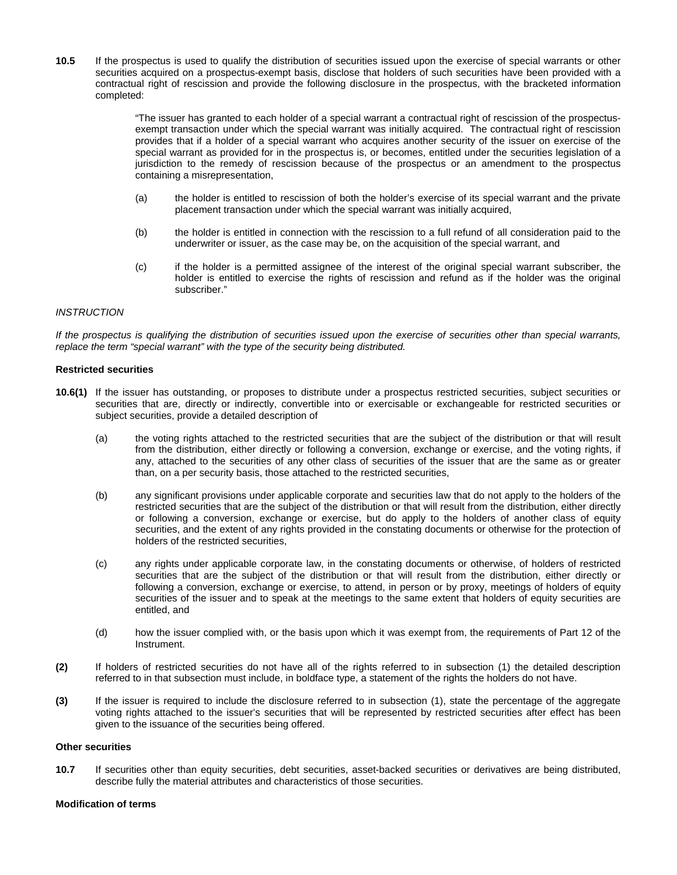**10.5** If the prospectus is used to qualify the distribution of securities issued upon the exercise of special warrants or other securities acquired on a prospectus-exempt basis, disclose that holders of such securities have been provided with a contractual right of rescission and provide the following disclosure in the prospectus, with the bracketed information completed:

> "The issuer has granted to each holder of a special warrant a contractual right of rescission of the prospectusexempt transaction under which the special warrant was initially acquired. The contractual right of rescission provides that if a holder of a special warrant who acquires another security of the issuer on exercise of the special warrant as provided for in the prospectus is, or becomes, entitled under the securities legislation of a jurisdiction to the remedy of rescission because of the prospectus or an amendment to the prospectus containing a misrepresentation,

- (a) the holder is entitled to rescission of both the holder's exercise of its special warrant and the private placement transaction under which the special warrant was initially acquired,
- (b) the holder is entitled in connection with the rescission to a full refund of all consideration paid to the underwriter or issuer, as the case may be, on the acquisition of the special warrant, and
- (c) if the holder is a permitted assignee of the interest of the original special warrant subscriber, the holder is entitled to exercise the rights of rescission and refund as if the holder was the original subscriber."

## *INSTRUCTION*

*If the prospectus is qualifying the distribution of securities issued upon the exercise of securities other than special warrants, replace the term "special warrant" with the type of the security being distributed.* 

#### **Restricted securities**

- **10.6(1)** If the issuer has outstanding, or proposes to distribute under a prospectus restricted securities, subject securities or securities that are, directly or indirectly, convertible into or exercisable or exchangeable for restricted securities or subject securities, provide a detailed description of
	- (a) the voting rights attached to the restricted securities that are the subject of the distribution or that will result from the distribution, either directly or following a conversion, exchange or exercise, and the voting rights, if any, attached to the securities of any other class of securities of the issuer that are the same as or greater than, on a per security basis, those attached to the restricted securities,
	- (b) any significant provisions under applicable corporate and securities law that do not apply to the holders of the restricted securities that are the subject of the distribution or that will result from the distribution, either directly or following a conversion, exchange or exercise, but do apply to the holders of another class of equity securities, and the extent of any rights provided in the constating documents or otherwise for the protection of holders of the restricted securities,
	- (c) any rights under applicable corporate law, in the constating documents or otherwise, of holders of restricted securities that are the subject of the distribution or that will result from the distribution, either directly or following a conversion, exchange or exercise, to attend, in person or by proxy, meetings of holders of equity securities of the issuer and to speak at the meetings to the same extent that holders of equity securities are entitled, and
	- (d) how the issuer complied with, or the basis upon which it was exempt from, the requirements of Part 12 of the Instrument.
- **(2)** If holders of restricted securities do not have all of the rights referred to in subsection (1) the detailed description referred to in that subsection must include, in boldface type, a statement of the rights the holders do not have.
- **(3)** If the issuer is required to include the disclosure referred to in subsection (1), state the percentage of the aggregate voting rights attached to the issuer's securities that will be represented by restricted securities after effect has been given to the issuance of the securities being offered.

## **Other securities**

**10.7** If securities other than equity securities, debt securities, asset-backed securities or derivatives are being distributed, describe fully the material attributes and characteristics of those securities.

#### **Modification of terms**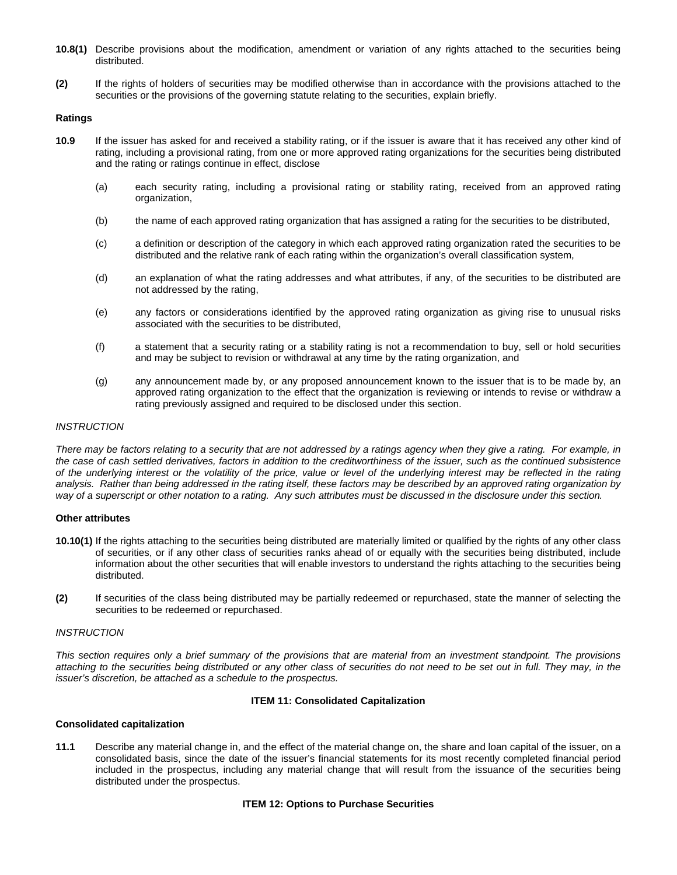- **10.8(1)** Describe provisions about the modification, amendment or variation of any rights attached to the securities being distributed.
- **(2)** If the rights of holders of securities may be modified otherwise than in accordance with the provisions attached to the securities or the provisions of the governing statute relating to the securities, explain briefly.

# **Ratings**

- **10.9** If the issuer has asked for and received a stability rating, or if the issuer is aware that it has received any other kind of rating, including a provisional rating, from one or more approved rating organizations for the securities being distributed and the rating or ratings continue in effect, disclose
	- (a) each security rating, including a provisional rating or stability rating, received from an approved rating organization,
	- (b) the name of each approved rating organization that has assigned a rating for the securities to be distributed,
	- (c) a definition or description of the category in which each approved rating organization rated the securities to be distributed and the relative rank of each rating within the organization's overall classification system,
	- (d) an explanation of what the rating addresses and what attributes, if any, of the securities to be distributed are not addressed by the rating,
	- (e) any factors or considerations identified by the approved rating organization as giving rise to unusual risks associated with the securities to be distributed,
	- (f) a statement that a security rating or a stability rating is not a recommendation to buy, sell or hold securities and may be subject to revision or withdrawal at any time by the rating organization, and
	- (g) any announcement made by, or any proposed announcement known to the issuer that is to be made by, an approved rating organization to the effect that the organization is reviewing or intends to revise or withdraw a rating previously assigned and required to be disclosed under this section.

# *INSTRUCTION*

*There may be factors relating to a security that are not addressed by a ratings agency when they give a rating. For example, in the case of cash settled derivatives, factors in addition to the creditworthiness of the issuer, such as the continued subsistence of the underlying interest or the volatility of the price, value or level of the underlying interest may be reflected in the rating analysis. Rather than being addressed in the rating itself, these factors may be described by an approved rating organization by way of a superscript or other notation to a rating. Any such attributes must be discussed in the disclosure under this section.* 

## **Other attributes**

- **10.10(1)** If the rights attaching to the securities being distributed are materially limited or qualified by the rights of any other class of securities, or if any other class of securities ranks ahead of or equally with the securities being distributed, include information about the other securities that will enable investors to understand the rights attaching to the securities being distributed.
- **(2)** If securities of the class being distributed may be partially redeemed or repurchased, state the manner of selecting the securities to be redeemed or repurchased.

# *INSTRUCTION*

*This section requires only a brief summary of the provisions that are material from an investment standpoint. The provisions attaching to the securities being distributed or any other class of securities do not need to be set out in full. They may, in the issuer's discretion, be attached as a schedule to the prospectus.* 

#### **ITEM 11: Consolidated Capitalization**

# **Consolidated capitalization**

**11.1** Describe any material change in, and the effect of the material change on, the share and loan capital of the issuer, on a consolidated basis, since the date of the issuer's financial statements for its most recently completed financial period included in the prospectus, including any material change that will result from the issuance of the securities being distributed under the prospectus.

#### **ITEM 12: Options to Purchase Securities**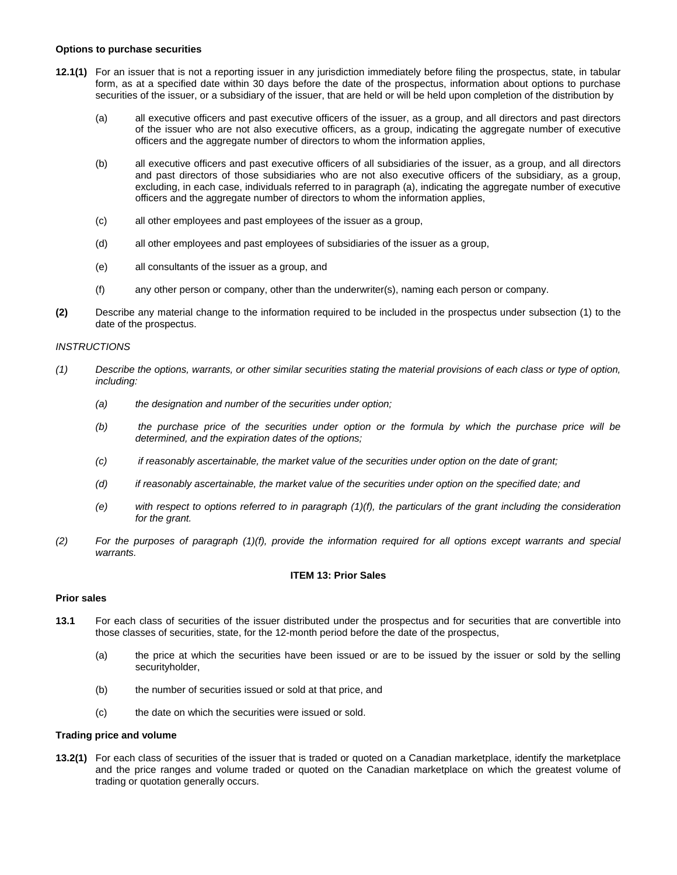## **Options to purchase securities**

- **12.1(1)** For an issuer that is not a reporting issuer in any jurisdiction immediately before filing the prospectus, state, in tabular form, as at a specified date within 30 days before the date of the prospectus, information about options to purchase securities of the issuer, or a subsidiary of the issuer, that are held or will be held upon completion of the distribution by
	- (a) all executive officers and past executive officers of the issuer, as a group, and all directors and past directors of the issuer who are not also executive officers, as a group, indicating the aggregate number of executive officers and the aggregate number of directors to whom the information applies,
	- (b) all executive officers and past executive officers of all subsidiaries of the issuer, as a group, and all directors and past directors of those subsidiaries who are not also executive officers of the subsidiary, as a group, excluding, in each case, individuals referred to in paragraph (a), indicating the aggregate number of executive officers and the aggregate number of directors to whom the information applies,
	- (c) all other employees and past employees of the issuer as a group,
	- (d) all other employees and past employees of subsidiaries of the issuer as a group,
	- (e) all consultants of the issuer as a group, and
	- (f) any other person or company, other than the underwriter(s), naming each person or company.
- **(2)** Describe any material change to the information required to be included in the prospectus under subsection (1) to the date of the prospectus.

#### *INSTRUCTIONS*

- *(1) Describe the options, warrants, or other similar securities stating the material provisions of each class or type of option, including:* 
	- *(a) the designation and number of the securities under option;*
	- *(b) the purchase price of the securities under option or the formula by which the purchase price will be determined, and the expiration dates of the options;*
	- *(c) if reasonably ascertainable, the market value of the securities under option on the date of grant;*
	- *(d) if reasonably ascertainable, the market value of the securities under option on the specified date; and*
	- *(e) with respect to options referred to in paragraph (1)(f), the particulars of the grant including the consideration for the grant.*
- *(2) For the purposes of paragraph (1)(f), provide the information required for all options except warrants and special warrants.*

## **ITEM 13: Prior Sales**

#### **Prior sales**

- **13.1** For each class of securities of the issuer distributed under the prospectus and for securities that are convertible into those classes of securities, state, for the 12-month period before the date of the prospectus,
	- (a) the price at which the securities have been issued or are to be issued by the issuer or sold by the selling securityholder,
	- (b) the number of securities issued or sold at that price, and
	- (c) the date on which the securities were issued or sold.

# **Trading price and volume**

**13.2(1)** For each class of securities of the issuer that is traded or quoted on a Canadian marketplace, identify the marketplace and the price ranges and volume traded or quoted on the Canadian marketplace on which the greatest volume of trading or quotation generally occurs.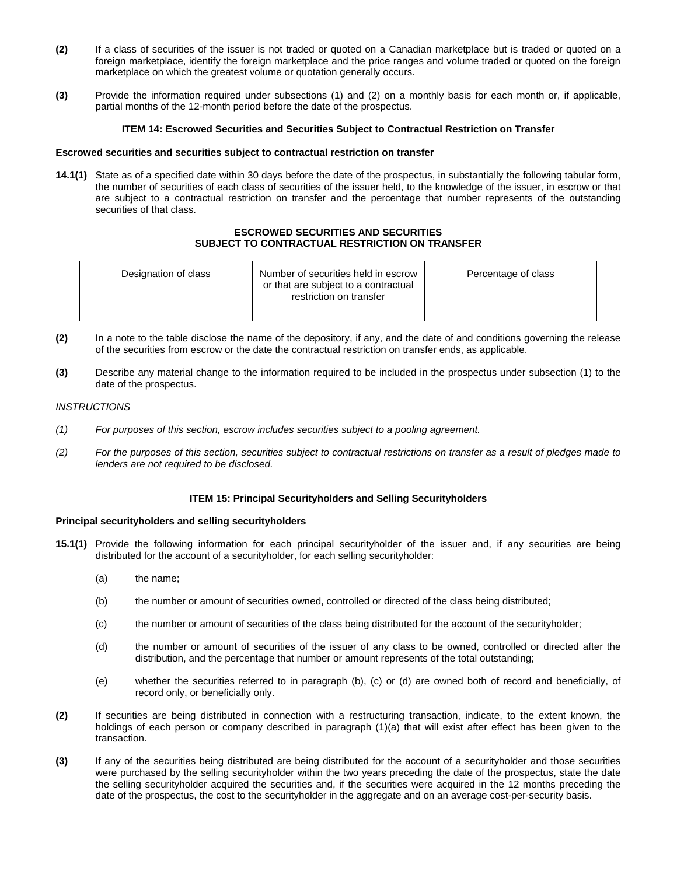- **(2)** If a class of securities of the issuer is not traded or quoted on a Canadian marketplace but is traded or quoted on a foreign marketplace, identify the foreign marketplace and the price ranges and volume traded or quoted on the foreign marketplace on which the greatest volume or quotation generally occurs.
- **(3)** Provide the information required under subsections (1) and (2) on a monthly basis for each month or, if applicable, partial months of the 12-month period before the date of the prospectus.

## **ITEM 14: Escrowed Securities and Securities Subject to Contractual Restriction on Transfer**

## **Escrowed securities and securities subject to contractual restriction on transfer**

**14.1(1)** State as of a specified date within 30 days before the date of the prospectus, in substantially the following tabular form, the number of securities of each class of securities of the issuer held, to the knowledge of the issuer, in escrow or that are subject to a contractual restriction on transfer and the percentage that number represents of the outstanding securities of that class.

## **ESCROWED SECURITIES AND SECURITIES SUBJECT TO CONTRACTUAL RESTRICTION ON TRANSFER**

| Designation of class | Number of securities held in escrow<br>or that are subject to a contractual<br>restriction on transfer | Percentage of class |
|----------------------|--------------------------------------------------------------------------------------------------------|---------------------|
|                      |                                                                                                        |                     |

- **(2)** In a note to the table disclose the name of the depository, if any, and the date of and conditions governing the release of the securities from escrow or the date the contractual restriction on transfer ends, as applicable.
- **(3)** Describe any material change to the information required to be included in the prospectus under subsection (1) to the date of the prospectus.

## *INSTRUCTIONS*

- *(1) For purposes of this section, escrow includes securities subject to a pooling agreement.*
- *(2) For the purposes of this section, securities subject to contractual restrictions on transfer as a result of pledges made to lenders are not required to be disclosed.*

# **ITEM 15: Principal Securityholders and Selling Securityholders**

## **Principal securityholders and selling securityholders**

- **15.1(1)** Provide the following information for each principal securityholder of the issuer and, if any securities are being distributed for the account of a securityholder, for each selling securityholder:
	- (a) the name;
	- (b) the number or amount of securities owned, controlled or directed of the class being distributed;
	- (c) the number or amount of securities of the class being distributed for the account of the securityholder;
	- (d) the number or amount of securities of the issuer of any class to be owned, controlled or directed after the distribution, and the percentage that number or amount represents of the total outstanding;
	- (e) whether the securities referred to in paragraph (b), (c) or (d) are owned both of record and beneficially, of record only, or beneficially only.
- **(2)** If securities are being distributed in connection with a restructuring transaction, indicate, to the extent known, the holdings of each person or company described in paragraph (1)(a) that will exist after effect has been given to the transaction.
- **(3)** If any of the securities being distributed are being distributed for the account of a securityholder and those securities were purchased by the selling securityholder within the two years preceding the date of the prospectus, state the date the selling securityholder acquired the securities and, if the securities were acquired in the 12 months preceding the date of the prospectus, the cost to the securityholder in the aggregate and on an average cost-per-security basis.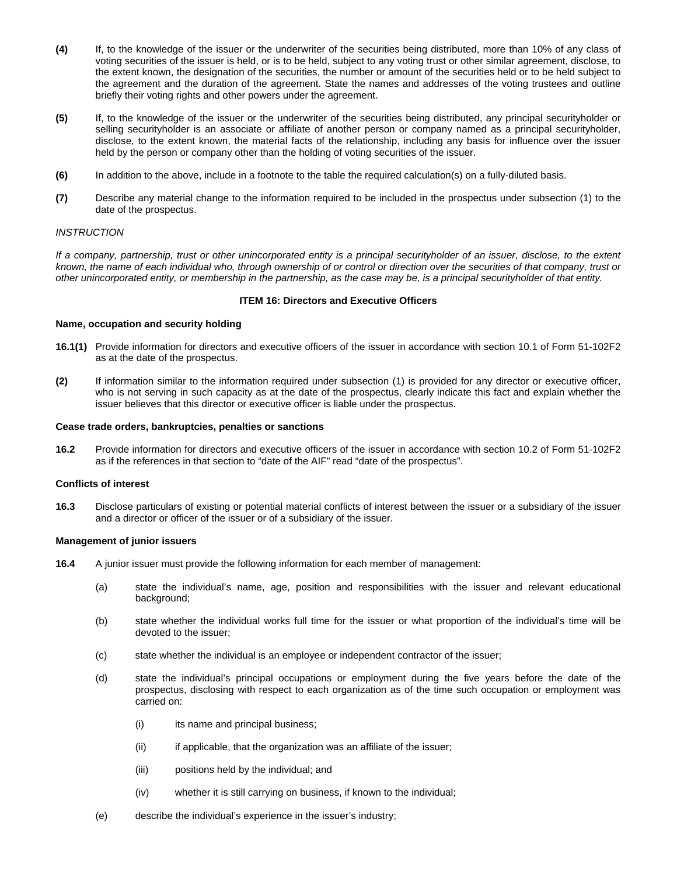- **(4)** If, to the knowledge of the issuer or the underwriter of the securities being distributed, more than 10% of any class of voting securities of the issuer is held, or is to be held, subject to any voting trust or other similar agreement, disclose, to the extent known, the designation of the securities, the number or amount of the securities held or to be held subject to the agreement and the duration of the agreement. State the names and addresses of the voting trustees and outline briefly their voting rights and other powers under the agreement.
- **(5)** If, to the knowledge of the issuer or the underwriter of the securities being distributed, any principal securityholder or selling securityholder is an associate or affiliate of another person or company named as a principal securityholder, disclose, to the extent known, the material facts of the relationship, including any basis for influence over the issuer held by the person or company other than the holding of voting securities of the issuer.
- **(6)** In addition to the above, include in a footnote to the table the required calculation(s) on a fully-diluted basis.
- **(7)** Describe any material change to the information required to be included in the prospectus under subsection (1) to the date of the prospectus.

## *INSTRUCTION*

*If a company, partnership, trust or other unincorporated entity is a principal securityholder of an issuer, disclose, to the extent known, the name of each individual who, through ownership of or control or direction over the securities of that company, trust or other unincorporated entity, or membership in the partnership, as the case may be, is a principal securityholder of that entity.* 

## **ITEM 16: Directors and Executive Officers**

## **Name, occupation and security holding**

- **16.1(1)** Provide information for directors and executive officers of the issuer in accordance with section 10.1 of Form 51-102F2 as at the date of the prospectus.
- **(2)** If information similar to the information required under subsection (1) is provided for any director or executive officer, who is not serving in such capacity as at the date of the prospectus, clearly indicate this fact and explain whether the issuer believes that this director or executive officer is liable under the prospectus.

#### **Cease trade orders, bankruptcies, penalties or sanctions**

**16.2** Provide information for directors and executive officers of the issuer in accordance with section 10.2 of Form 51-102F2 as if the references in that section to "date of the AIF" read "date of the prospectus".

#### **Conflicts of interest**

**16.3** Disclose particulars of existing or potential material conflicts of interest between the issuer or a subsidiary of the issuer and a director or officer of the issuer or of a subsidiary of the issuer.

#### **Management of junior issuers**

- **16.4** A junior issuer must provide the following information for each member of management:
	- (a) state the individual's name, age, position and responsibilities with the issuer and relevant educational background;
	- (b) state whether the individual works full time for the issuer or what proportion of the individual's time will be devoted to the issuer;
	- (c) state whether the individual is an employee or independent contractor of the issuer;
	- (d) state the individual's principal occupations or employment during the five years before the date of the prospectus, disclosing with respect to each organization as of the time such occupation or employment was carried on:
		- (i) its name and principal business;
		- (ii) if applicable, that the organization was an affiliate of the issuer;
		- (iii) positions held by the individual; and
		- (iv) whether it is still carrying on business, if known to the individual;
	- (e) describe the individual's experience in the issuer's industry;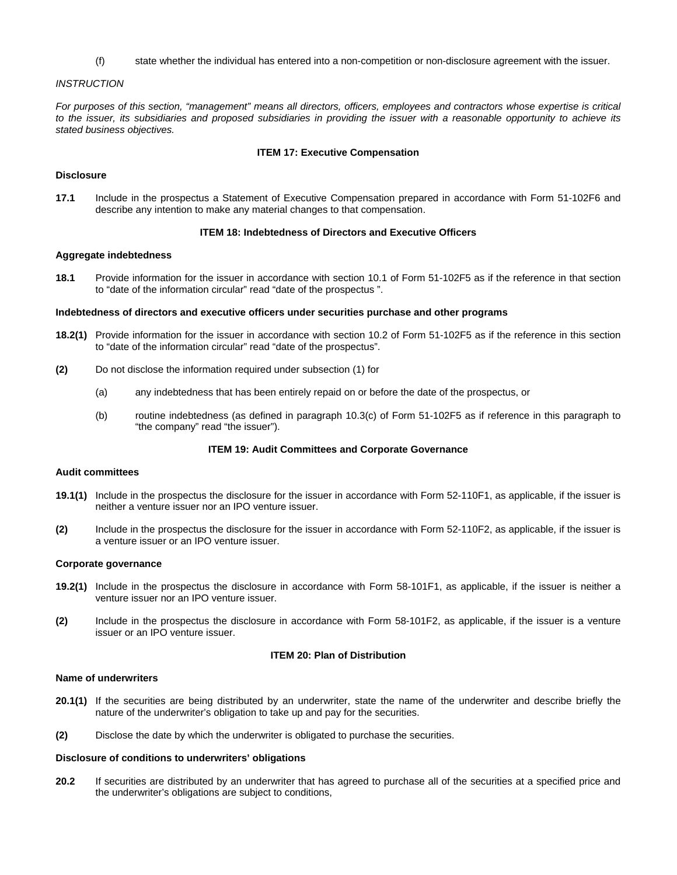(f) state whether the individual has entered into a non-competition or non-disclosure agreement with the issuer.

## *INSTRUCTION*

*For purposes of this section, "management" means all directors, officers, employees and contractors whose expertise is critical to the issuer, its subsidiaries and proposed subsidiaries in providing the issuer with a reasonable opportunity to achieve its stated business objectives.* 

## **ITEM 17: Executive Compensation**

# **Disclosure**

**17.1** Include in the prospectus a Statement of Executive Compensation prepared in accordance with Form 51-102F6 and describe any intention to make any material changes to that compensation.

## **ITEM 18: Indebtedness of Directors and Executive Officers**

## **Aggregate indebtedness**

**18.1** Provide information for the issuer in accordance with section 10.1 of Form 51-102F5 as if the reference in that section to "date of the information circular" read "date of the prospectus ".

#### **Indebtedness of directors and executive officers under securities purchase and other programs**

- **18.2(1)** Provide information for the issuer in accordance with section 10.2 of Form 51-102F5 as if the reference in this section to "date of the information circular" read "date of the prospectus".
- **(2)** Do not disclose the information required under subsection (1) for
	- (a) any indebtedness that has been entirely repaid on or before the date of the prospectus, or
	- (b) routine indebtedness (as defined in paragraph 10.3(c) of Form 51-102F5 as if reference in this paragraph to "the company" read "the issuer").

# **ITEM 19: Audit Committees and Corporate Governance**

#### **Audit committees**

- **19.1(1)** Include in the prospectus the disclosure for the issuer in accordance with Form 52-110F1, as applicable, if the issuer is neither a venture issuer nor an IPO venture issuer.
- **(2)** Include in the prospectus the disclosure for the issuer in accordance with Form 52-110F2, as applicable, if the issuer is a venture issuer or an IPO venture issuer.

#### **Corporate governance**

- **19.2(1)** Include in the prospectus the disclosure in accordance with Form 58-101F1, as applicable, if the issuer is neither a venture issuer nor an IPO venture issuer.
- **(2)** Include in the prospectus the disclosure in accordance with Form 58-101F2, as applicable, if the issuer is a venture issuer or an IPO venture issuer.

# **ITEM 20: Plan of Distribution**

## **Name of underwriters**

- **20.1(1)** If the securities are being distributed by an underwriter, state the name of the underwriter and describe briefly the nature of the underwriter's obligation to take up and pay for the securities.
- **(2)** Disclose the date by which the underwriter is obligated to purchase the securities.

#### **Disclosure of conditions to underwriters' obligations**

**20.2** If securities are distributed by an underwriter that has agreed to purchase all of the securities at a specified price and the underwriter's obligations are subject to conditions,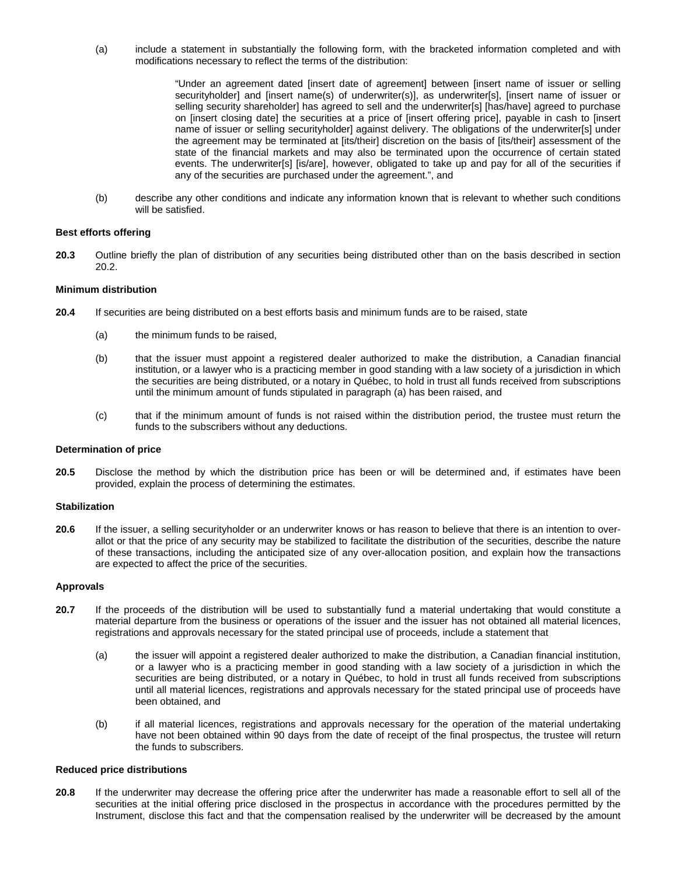(a) include a statement in substantially the following form, with the bracketed information completed and with modifications necessary to reflect the terms of the distribution:

> "Under an agreement dated [insert date of agreement] between [insert name of issuer or selling securityholder] and [insert name(s) of underwriter(s)], as underwriter[s], [insert name of issuer or selling security shareholder] has agreed to sell and the underwriter[s] [has/have] agreed to purchase on [insert closing date] the securities at a price of [insert offering price], payable in cash to [insert name of issuer or selling securityholder] against delivery. The obligations of the underwriter[s] under the agreement may be terminated at [its/their] discretion on the basis of [its/their] assessment of the state of the financial markets and may also be terminated upon the occurrence of certain stated events. The underwriter[s] [is/are], however, obligated to take up and pay for all of the securities if any of the securities are purchased under the agreement.", and

(b) describe any other conditions and indicate any information known that is relevant to whether such conditions will be satisfied.

## **Best efforts offering**

**20.3** Outline briefly the plan of distribution of any securities being distributed other than on the basis described in section 20.2.

## **Minimum distribution**

- **20.4** If securities are being distributed on a best efforts basis and minimum funds are to be raised, state
	- (a) the minimum funds to be raised,
	- (b) that the issuer must appoint a registered dealer authorized to make the distribution, a Canadian financial institution, or a lawyer who is a practicing member in good standing with a law society of a jurisdiction in which the securities are being distributed, or a notary in Québec, to hold in trust all funds received from subscriptions until the minimum amount of funds stipulated in paragraph (a) has been raised, and
	- (c) that if the minimum amount of funds is not raised within the distribution period, the trustee must return the funds to the subscribers without any deductions.

## **Determination of price**

**20.5** Disclose the method by which the distribution price has been or will be determined and, if estimates have been provided, explain the process of determining the estimates.

#### **Stabilization**

**20.6** If the issuer, a selling securityholder or an underwriter knows or has reason to believe that there is an intention to overallot or that the price of any security may be stabilized to facilitate the distribution of the securities, describe the nature of these transactions, including the anticipated size of any over-allocation position, and explain how the transactions are expected to affect the price of the securities.

## **Approvals**

- **20.7** If the proceeds of the distribution will be used to substantially fund a material undertaking that would constitute a material departure from the business or operations of the issuer and the issuer has not obtained all material licences, registrations and approvals necessary for the stated principal use of proceeds, include a statement that
	- (a) the issuer will appoint a registered dealer authorized to make the distribution, a Canadian financial institution, or a lawyer who is a practicing member in good standing with a law society of a jurisdiction in which the securities are being distributed, or a notary in Québec, to hold in trust all funds received from subscriptions until all material licences, registrations and approvals necessary for the stated principal use of proceeds have been obtained, and
	- (b) if all material licences, registrations and approvals necessary for the operation of the material undertaking have not been obtained within 90 days from the date of receipt of the final prospectus, the trustee will return the funds to subscribers.

#### **Reduced price distributions**

**20.8** If the underwriter may decrease the offering price after the underwriter has made a reasonable effort to sell all of the securities at the initial offering price disclosed in the prospectus in accordance with the procedures permitted by the Instrument, disclose this fact and that the compensation realised by the underwriter will be decreased by the amount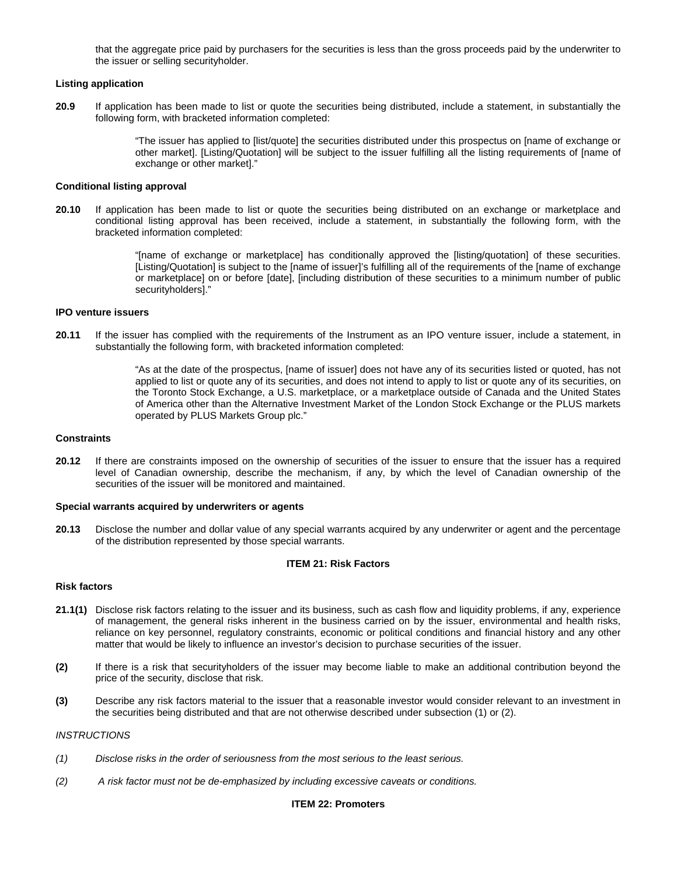that the aggregate price paid by purchasers for the securities is less than the gross proceeds paid by the underwriter to the issuer or selling securityholder.

## **Listing application**

**20.9** If application has been made to list or quote the securities being distributed, include a statement, in substantially the following form, with bracketed information completed:

> "The issuer has applied to [list/quote] the securities distributed under this prospectus on [name of exchange or other market]. [Listing/Quotation] will be subject to the issuer fulfilling all the listing requirements of [name of exchange or other market]."

## **Conditional listing approval**

**20.10** If application has been made to list or quote the securities being distributed on an exchange or marketplace and conditional listing approval has been received, include a statement, in substantially the following form, with the bracketed information completed:

> "[name of exchange or marketplace] has conditionally approved the [listing/quotation] of these securities. [Listing/Quotation] is subject to the [name of issuer]'s fulfilling all of the requirements of the [name of exchange or marketplace] on or before [date], [including distribution of these securities to a minimum number of public securityholders]."

## **IPO venture issuers**

**20.11** If the issuer has complied with the requirements of the Instrument as an IPO venture issuer, include a statement, in substantially the following form, with bracketed information completed:

> "As at the date of the prospectus, [name of issuer] does not have any of its securities listed or quoted, has not applied to list or quote any of its securities, and does not intend to apply to list or quote any of its securities, on the Toronto Stock Exchange, a U.S. marketplace, or a marketplace outside of Canada and the United States of America other than the Alternative Investment Market of the London Stock Exchange or the PLUS markets operated by PLUS Markets Group plc."

# **Constraints**

**20.12** If there are constraints imposed on the ownership of securities of the issuer to ensure that the issuer has a required level of Canadian ownership, describe the mechanism, if any, by which the level of Canadian ownership of the securities of the issuer will be monitored and maintained.

#### **Special warrants acquired by underwriters or agents**

**20.13** Disclose the number and dollar value of any special warrants acquired by any underwriter or agent and the percentage of the distribution represented by those special warrants.

# **ITEM 21: Risk Factors**

## **Risk factors**

- **21.1(1)** Disclose risk factors relating to the issuer and its business, such as cash flow and liquidity problems, if any, experience of management, the general risks inherent in the business carried on by the issuer, environmental and health risks, reliance on key personnel, regulatory constraints, economic or political conditions and financial history and any other matter that would be likely to influence an investor's decision to purchase securities of the issuer.
- **(2)** If there is a risk that securityholders of the issuer may become liable to make an additional contribution beyond the price of the security, disclose that risk.
- **(3)** Describe any risk factors material to the issuer that a reasonable investor would consider relevant to an investment in the securities being distributed and that are not otherwise described under subsection (1) or (2).

# *INSTRUCTIONS*

- *(1) Disclose risks in the order of seriousness from the most serious to the least serious.*
- *(2) A risk factor must not be de-emphasized by including excessive caveats or conditions.*

## **ITEM 22: Promoters**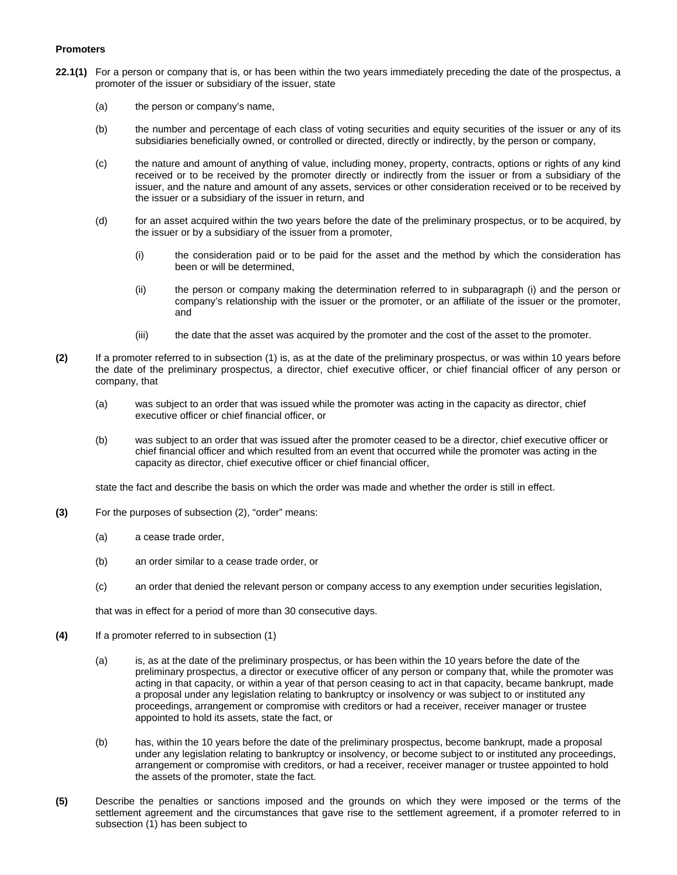# **Promoters**

- **22.1(1)** For a person or company that is, or has been within the two years immediately preceding the date of the prospectus, a promoter of the issuer or subsidiary of the issuer, state
	- (a) the person or company's name,
	- (b) the number and percentage of each class of voting securities and equity securities of the issuer or any of its subsidiaries beneficially owned, or controlled or directed, directly or indirectly, by the person or company,
	- (c) the nature and amount of anything of value, including money, property, contracts, options or rights of any kind received or to be received by the promoter directly or indirectly from the issuer or from a subsidiary of the issuer, and the nature and amount of any assets, services or other consideration received or to be received by the issuer or a subsidiary of the issuer in return, and
	- (d) for an asset acquired within the two years before the date of the preliminary prospectus, or to be acquired, by the issuer or by a subsidiary of the issuer from a promoter,
		- (i) the consideration paid or to be paid for the asset and the method by which the consideration has been or will be determined,
		- (ii) the person or company making the determination referred to in subparagraph (i) and the person or company's relationship with the issuer or the promoter, or an affiliate of the issuer or the promoter, and
		- (iii) the date that the asset was acquired by the promoter and the cost of the asset to the promoter.
- **(2)** If a promoter referred to in subsection (1) is, as at the date of the preliminary prospectus, or was within 10 years before the date of the preliminary prospectus, a director, chief executive officer, or chief financial officer of any person or company, that
	- (a) was subject to an order that was issued while the promoter was acting in the capacity as director, chief executive officer or chief financial officer, or
	- (b) was subject to an order that was issued after the promoter ceased to be a director, chief executive officer or chief financial officer and which resulted from an event that occurred while the promoter was acting in the capacity as director, chief executive officer or chief financial officer,

state the fact and describe the basis on which the order was made and whether the order is still in effect.

- **(3)** For the purposes of subsection (2), "order" means:
	- (a) a cease trade order,
	- (b) an order similar to a cease trade order, or
	- (c) an order that denied the relevant person or company access to any exemption under securities legislation,

that was in effect for a period of more than 30 consecutive days.

- **(4)** If a promoter referred to in subsection (1)
	- (a) is, as at the date of the preliminary prospectus, or has been within the 10 years before the date of the preliminary prospectus, a director or executive officer of any person or company that, while the promoter was acting in that capacity, or within a year of that person ceasing to act in that capacity, became bankrupt, made a proposal under any legislation relating to bankruptcy or insolvency or was subject to or instituted any proceedings, arrangement or compromise with creditors or had a receiver, receiver manager or trustee appointed to hold its assets, state the fact, or
	- (b) has, within the 10 years before the date of the preliminary prospectus, become bankrupt, made a proposal under any legislation relating to bankruptcy or insolvency, or become subject to or instituted any proceedings, arrangement or compromise with creditors, or had a receiver, receiver manager or trustee appointed to hold the assets of the promoter, state the fact.
- **(5)** Describe the penalties or sanctions imposed and the grounds on which they were imposed or the terms of the settlement agreement and the circumstances that gave rise to the settlement agreement, if a promoter referred to in subsection (1) has been subject to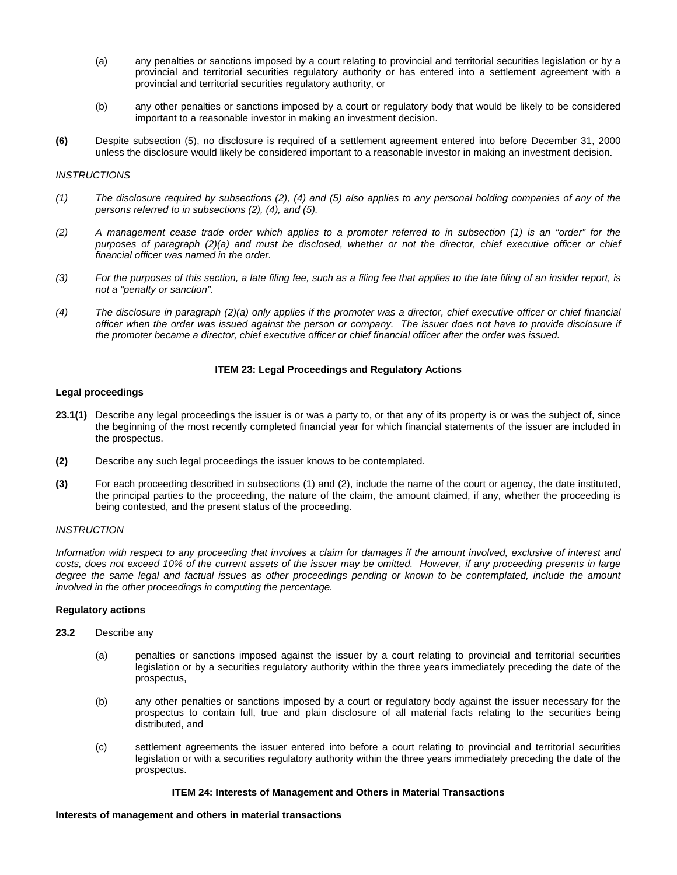- (a) any penalties or sanctions imposed by a court relating to provincial and territorial securities legislation or by a provincial and territorial securities regulatory authority or has entered into a settlement agreement with a provincial and territorial securities regulatory authority, or
- (b) any other penalties or sanctions imposed by a court or regulatory body that would be likely to be considered important to a reasonable investor in making an investment decision.
- **(6)** Despite subsection (5), no disclosure is required of a settlement agreement entered into before December 31, 2000 unless the disclosure would likely be considered important to a reasonable investor in making an investment decision.

## *INSTRUCTIONS*

- *(1) The disclosure required by subsections (2), (4) and (5) also applies to any personal holding companies of any of the persons referred to in subsections (2), (4), and (5).*
- *(2) A management cease trade order which applies to a promoter referred to in subsection (1) is an "order" for the purposes of paragraph (2)(a) and must be disclosed, whether or not the director, chief executive officer or chief financial officer was named in the order.*
- *(3) For the purposes of this section, a late filing fee, such as a filing fee that applies to the late filing of an insider report, is not a "penalty or sanction".*
- *(4) The disclosure in paragraph (2)(a) only applies if the promoter was a director, chief executive officer or chief financial officer when the order was issued against the person or company. The issuer does not have to provide disclosure if the promoter became a director, chief executive officer or chief financial officer after the order was issued.*

## **ITEM 23: Legal Proceedings and Regulatory Actions**

## **Legal proceedings**

- **23.1(1)** Describe any legal proceedings the issuer is or was a party to, or that any of its property is or was the subject of, since the beginning of the most recently completed financial year for which financial statements of the issuer are included in the prospectus.
- **(2)** Describe any such legal proceedings the issuer knows to be contemplated.
- **(3)** For each proceeding described in subsections (1) and (2), include the name of the court or agency, the date instituted, the principal parties to the proceeding, the nature of the claim, the amount claimed, if any, whether the proceeding is being contested, and the present status of the proceeding.

#### *INSTRUCTION*

*Information with respect to any proceeding that involves a claim for damages if the amount involved, exclusive of interest and costs, does not exceed 10% of the current assets of the issuer may be omitted. However, if any proceeding presents in large degree the same legal and factual issues as other proceedings pending or known to be contemplated, include the amount involved in the other proceedings in computing the percentage.* 

# **Regulatory actions**

## **23.2** Describe any

- (a) penalties or sanctions imposed against the issuer by a court relating to provincial and territorial securities legislation or by a securities regulatory authority within the three years immediately preceding the date of the prospectus,
- (b) any other penalties or sanctions imposed by a court or regulatory body against the issuer necessary for the prospectus to contain full, true and plain disclosure of all material facts relating to the securities being distributed, and
- (c) settlement agreements the issuer entered into before a court relating to provincial and territorial securities legislation or with a securities regulatory authority within the three years immediately preceding the date of the prospectus.

#### **ITEM 24: Interests of Management and Others in Material Transactions**

#### **Interests of management and others in material transactions**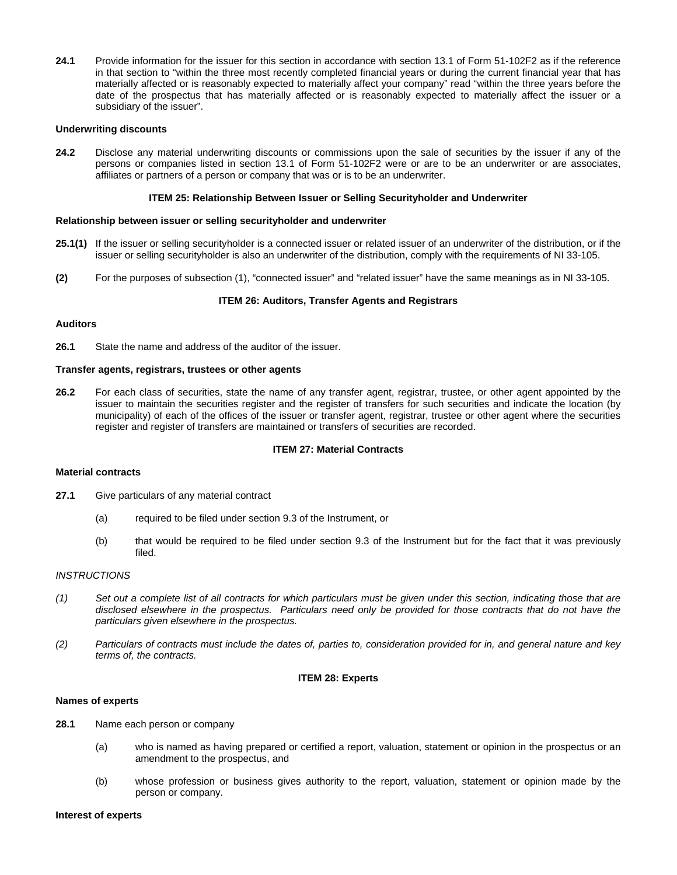**24.1** Provide information for the issuer for this section in accordance with section 13.1 of Form 51-102F2 as if the reference in that section to "within the three most recently completed financial years or during the current financial year that has materially affected or is reasonably expected to materially affect your company" read "within the three years before the date of the prospectus that has materially affected or is reasonably expected to materially affect the issuer or a subsidiary of the issuer".

# **Underwriting discounts**

**24.2** Disclose any material underwriting discounts or commissions upon the sale of securities by the issuer if any of the persons or companies listed in section 13.1 of Form 51-102F2 were or are to be an underwriter or are associates, affiliates or partners of a person or company that was or is to be an underwriter.

## **ITEM 25: Relationship Between Issuer or Selling Securityholder and Underwriter**

## **Relationship between issuer or selling securityholder and underwriter**

- **25.1(1)** If the issuer or selling securityholder is a connected issuer or related issuer of an underwriter of the distribution, or if the issuer or selling securityholder is also an underwriter of the distribution, comply with the requirements of NI 33-105.
- **(2)** For the purposes of subsection (1), "connected issuer" and "related issuer" have the same meanings as in NI 33-105.

# **ITEM 26: Auditors, Transfer Agents and Registrars**

## **Auditors**

**26.1** State the name and address of the auditor of the issuer.

## **Transfer agents, registrars, trustees or other agents**

**26.2** For each class of securities, state the name of any transfer agent, registrar, trustee, or other agent appointed by the issuer to maintain the securities register and the register of transfers for such securities and indicate the location (by municipality) of each of the offices of the issuer or transfer agent, registrar, trustee or other agent where the securities register and register of transfers are maintained or transfers of securities are recorded.

# **ITEM 27: Material Contracts**

#### **Material contracts**

- **27.1** Give particulars of any material contract
	- (a) required to be filed under section 9.3 of the Instrument, or
	- (b) that would be required to be filed under section 9.3 of the Instrument but for the fact that it was previously filed.

# *INSTRUCTIONS*

- *(1) Set out a complete list of all contracts for which particulars must be given under this section, indicating those that are disclosed elsewhere in the prospectus. Particulars need only be provided for those contracts that do not have the particulars given elsewhere in the prospectus.*
- *(2) Particulars of contracts must include the dates of, parties to, consideration provided for in, and general nature and key terms of, the contracts.*

# **ITEM 28: Experts**

#### **Names of experts**

- **28.1** Name each person or company
	- (a) who is named as having prepared or certified a report, valuation, statement or opinion in the prospectus or an amendment to the prospectus, and
	- (b) whose profession or business gives authority to the report, valuation, statement or opinion made by the person or company.

## **Interest of experts**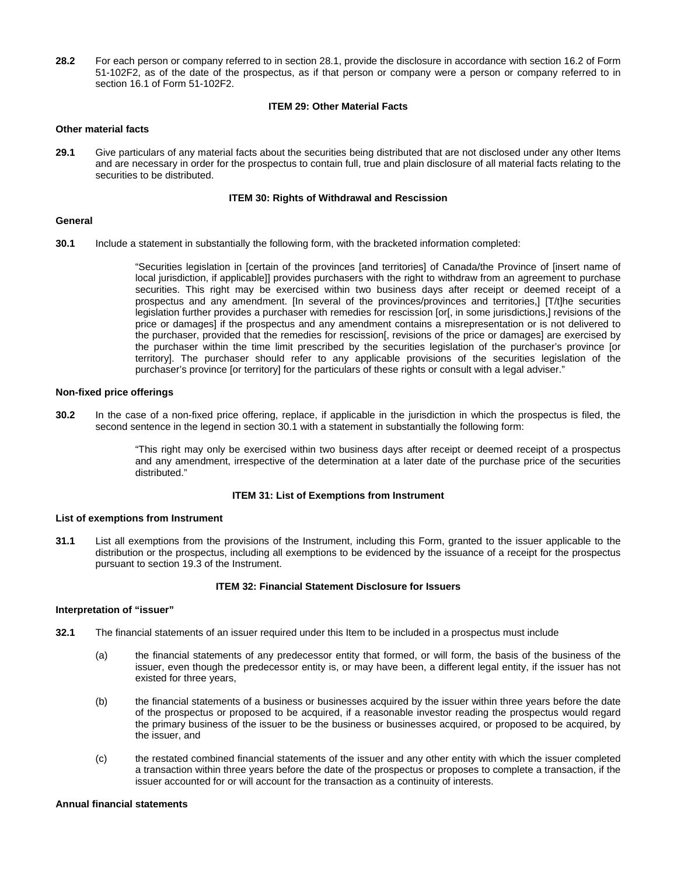**28.2** For each person or company referred to in section 28.1, provide the disclosure in accordance with section 16.2 of Form 51-102F2, as of the date of the prospectus, as if that person or company were a person or company referred to in section 16.1 of Form 51-102F2.

# **ITEM 29: Other Material Facts**

# **Other material facts**

**29.1** Give particulars of any material facts about the securities being distributed that are not disclosed under any other Items and are necessary in order for the prospectus to contain full, true and plain disclosure of all material facts relating to the securities to be distributed.

## **ITEM 30: Rights of Withdrawal and Rescission**

## **General**

**30.1** Include a statement in substantially the following form, with the bracketed information completed:

"Securities legislation in [certain of the provinces [and territories] of Canada/the Province of [insert name of local jurisdiction, if applicable]] provides purchasers with the right to withdraw from an agreement to purchase securities. This right may be exercised within two business days after receipt or deemed receipt of a prospectus and any amendment. [In several of the provinces/provinces and territories,] [T/t]he securities legislation further provides a purchaser with remedies for rescission [or[, in some jurisdictions,] revisions of the price or damages] if the prospectus and any amendment contains a misrepresentation or is not delivered to the purchaser, provided that the remedies for rescission[, revisions of the price or damages] are exercised by the purchaser within the time limit prescribed by the securities legislation of the purchaser's province [or territory]. The purchaser should refer to any applicable provisions of the securities legislation of the purchaser's province [or territory] for the particulars of these rights or consult with a legal adviser."

# **Non-fixed price offerings**

**30.2** In the case of a non-fixed price offering, replace, if applicable in the jurisdiction in which the prospectus is filed, the second sentence in the legend in section 30.1 with a statement in substantially the following form:

> "This right may only be exercised within two business days after receipt or deemed receipt of a prospectus and any amendment, irrespective of the determination at a later date of the purchase price of the securities distributed."

# **ITEM 31: List of Exemptions from Instrument**

#### **List of exemptions from Instrument**

**31.1** List all exemptions from the provisions of the Instrument, including this Form, granted to the issuer applicable to the distribution or the prospectus, including all exemptions to be evidenced by the issuance of a receipt for the prospectus pursuant to section 19.3 of the Instrument.

# **ITEM 32: Financial Statement Disclosure for Issuers**

# **Interpretation of "issuer"**

- **32.1** The financial statements of an issuer required under this Item to be included in a prospectus must include
	- (a) the financial statements of any predecessor entity that formed, or will form, the basis of the business of the issuer, even though the predecessor entity is, or may have been, a different legal entity, if the issuer has not existed for three years,
	- (b) the financial statements of a business or businesses acquired by the issuer within three years before the date of the prospectus or proposed to be acquired, if a reasonable investor reading the prospectus would regard the primary business of the issuer to be the business or businesses acquired, or proposed to be acquired, by the issuer, and
	- (c) the restated combined financial statements of the issuer and any other entity with which the issuer completed a transaction within three years before the date of the prospectus or proposes to complete a transaction, if the issuer accounted for or will account for the transaction as a continuity of interests.

## **Annual financial statements**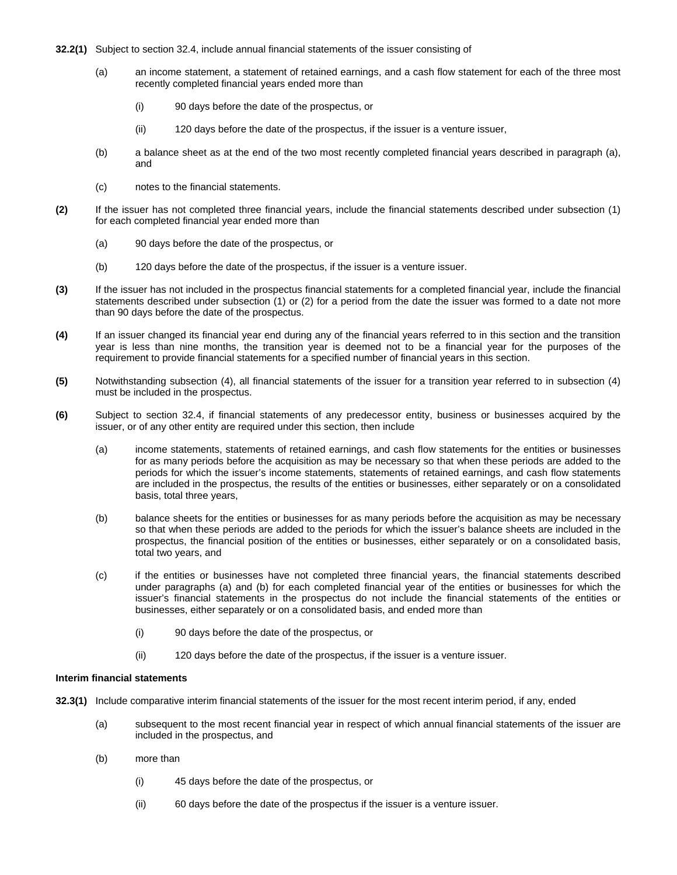- **32.2(1)** Subject to section 32.4, include annual financial statements of the issuer consisting of
	- (a) an income statement, a statement of retained earnings, and a cash flow statement for each of the three most recently completed financial years ended more than
		- (i) 90 days before the date of the prospectus, or
		- (ii) 120 days before the date of the prospectus, if the issuer is a venture issuer,
	- (b) a balance sheet as at the end of the two most recently completed financial years described in paragraph (a), and
	- (c) notes to the financial statements.
- **(2)** If the issuer has not completed three financial years, include the financial statements described under subsection (1) for each completed financial year ended more than
	- (a) 90 days before the date of the prospectus, or
	- (b) 120 days before the date of the prospectus, if the issuer is a venture issuer.
- **(3)** If the issuer has not included in the prospectus financial statements for a completed financial year, include the financial statements described under subsection (1) or (2) for a period from the date the issuer was formed to a date not more than 90 days before the date of the prospectus.
- **(4)** If an issuer changed its financial year end during any of the financial years referred to in this section and the transition year is less than nine months, the transition year is deemed not to be a financial year for the purposes of the requirement to provide financial statements for a specified number of financial years in this section.
- **(5)** Notwithstanding subsection (4), all financial statements of the issuer for a transition year referred to in subsection (4) must be included in the prospectus.
- **(6)** Subject to section 32.4, if financial statements of any predecessor entity, business or businesses acquired by the issuer, or of any other entity are required under this section, then include
	- (a) income statements, statements of retained earnings, and cash flow statements for the entities or businesses for as many periods before the acquisition as may be necessary so that when these periods are added to the periods for which the issuer's income statements, statements of retained earnings, and cash flow statements are included in the prospectus, the results of the entities or businesses, either separately or on a consolidated basis, total three years,
	- (b) balance sheets for the entities or businesses for as many periods before the acquisition as may be necessary so that when these periods are added to the periods for which the issuer's balance sheets are included in the prospectus, the financial position of the entities or businesses, either separately or on a consolidated basis, total two years, and
	- (c) if the entities or businesses have not completed three financial years, the financial statements described under paragraphs (a) and (b) for each completed financial year of the entities or businesses for which the issuer's financial statements in the prospectus do not include the financial statements of the entities or businesses, either separately or on a consolidated basis, and ended more than
		- (i) 90 days before the date of the prospectus, or
		- (ii) 120 days before the date of the prospectus, if the issuer is a venture issuer.

# **Interim financial statements**

- **32.3(1)** Include comparative interim financial statements of the issuer for the most recent interim period, if any, ended
	- (a) subsequent to the most recent financial year in respect of which annual financial statements of the issuer are included in the prospectus, and
	- (b) more than
		- (i) 45 days before the date of the prospectus, or
		- (ii) 60 days before the date of the prospectus if the issuer is a venture issuer.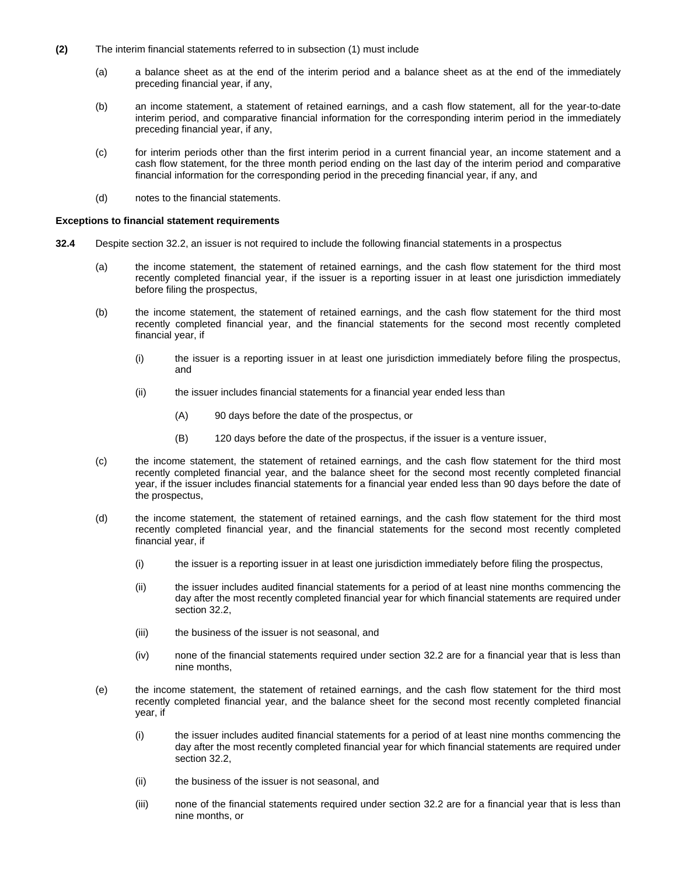- **(2)** The interim financial statements referred to in subsection (1) must include
	- (a) a balance sheet as at the end of the interim period and a balance sheet as at the end of the immediately preceding financial year, if any,
	- (b) an income statement, a statement of retained earnings, and a cash flow statement, all for the year-to-date interim period, and comparative financial information for the corresponding interim period in the immediately preceding financial year, if any,
	- (c) for interim periods other than the first interim period in a current financial year, an income statement and a cash flow statement, for the three month period ending on the last day of the interim period and comparative financial information for the corresponding period in the preceding financial year, if any, and
	- (d) notes to the financial statements.

## **Exceptions to financial statement requirements**

- **32.4** Despite section 32.2, an issuer is not required to include the following financial statements in a prospectus
	- (a) the income statement, the statement of retained earnings, and the cash flow statement for the third most recently completed financial year, if the issuer is a reporting issuer in at least one jurisdiction immediately before filing the prospectus,
	- (b) the income statement, the statement of retained earnings, and the cash flow statement for the third most recently completed financial year, and the financial statements for the second most recently completed financial year, if
		- (i) the issuer is a reporting issuer in at least one jurisdiction immediately before filing the prospectus, and
		- (ii) the issuer includes financial statements for a financial year ended less than
			- (A) 90 days before the date of the prospectus, or
			- (B) 120 days before the date of the prospectus, if the issuer is a venture issuer,
	- (c) the income statement, the statement of retained earnings, and the cash flow statement for the third most recently completed financial year, and the balance sheet for the second most recently completed financial year, if the issuer includes financial statements for a financial year ended less than 90 days before the date of the prospectus,
	- (d) the income statement, the statement of retained earnings, and the cash flow statement for the third most recently completed financial year, and the financial statements for the second most recently completed financial year, if
		- (i) the issuer is a reporting issuer in at least one jurisdiction immediately before filing the prospectus,
		- (ii) the issuer includes audited financial statements for a period of at least nine months commencing the day after the most recently completed financial year for which financial statements are required under section 32.2,
		- (iii) the business of the issuer is not seasonal, and
		- (iv) none of the financial statements required under section 32.2 are for a financial year that is less than nine months,
	- (e) the income statement, the statement of retained earnings, and the cash flow statement for the third most recently completed financial year, and the balance sheet for the second most recently completed financial year, if
		- (i) the issuer includes audited financial statements for a period of at least nine months commencing the day after the most recently completed financial year for which financial statements are required under section 32.2,
		- (ii) the business of the issuer is not seasonal, and
		- (iii) none of the financial statements required under section 32.2 are for a financial year that is less than nine months, or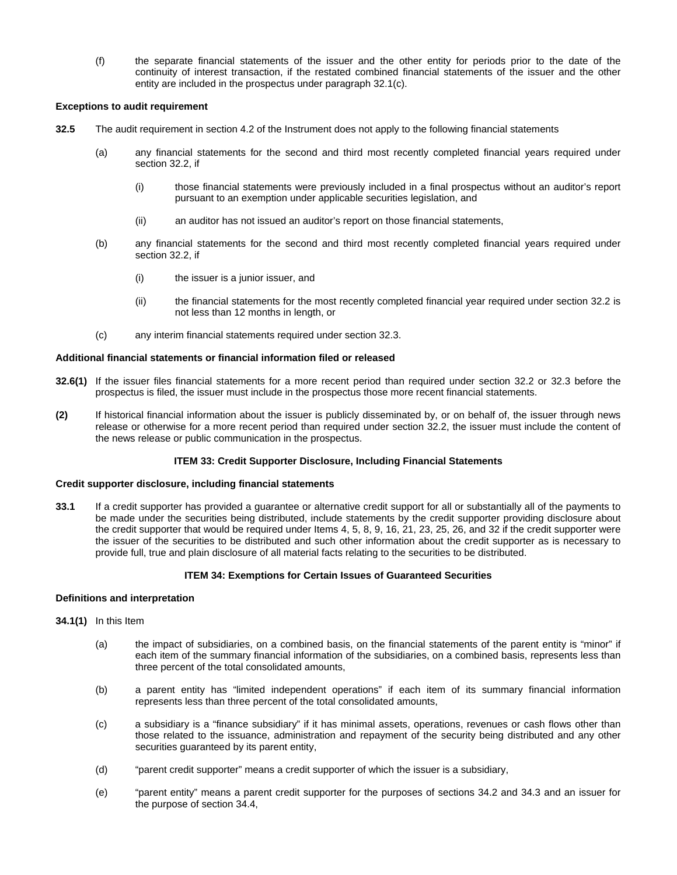(f) the separate financial statements of the issuer and the other entity for periods prior to the date of the continuity of interest transaction, if the restated combined financial statements of the issuer and the other entity are included in the prospectus under paragraph 32.1(c).

## **Exceptions to audit requirement**

- **32.5** The audit requirement in section 4.2 of the Instrument does not apply to the following financial statements
	- (a) any financial statements for the second and third most recently completed financial years required under section 32.2, if
		- (i) those financial statements were previously included in a final prospectus without an auditor's report pursuant to an exemption under applicable securities legislation, and
		- (ii) an auditor has not issued an auditor's report on those financial statements,
	- (b) any financial statements for the second and third most recently completed financial years required under section 32.2, if
		- (i) the issuer is a junior issuer, and
		- (ii) the financial statements for the most recently completed financial year required under section 32.2 is not less than 12 months in length, or
	- (c) any interim financial statements required under section 32.3.

#### **Additional financial statements or financial information filed or released**

- **32.6(1)** If the issuer files financial statements for a more recent period than required under section 32.2 or 32.3 before the prospectus is filed, the issuer must include in the prospectus those more recent financial statements.
- **(2)** If historical financial information about the issuer is publicly disseminated by, or on behalf of, the issuer through news release or otherwise for a more recent period than required under section 32.2, the issuer must include the content of the news release or public communication in the prospectus.

## **ITEM 33: Credit Supporter Disclosure, Including Financial Statements**

#### **Credit supporter disclosure, including financial statements**

**33.1** If a credit supporter has provided a guarantee or alternative credit support for all or substantially all of the payments to be made under the securities being distributed, include statements by the credit supporter providing disclosure about the credit supporter that would be required under Items 4, 5, 8, 9, 16, 21, 23, 25, 26, and 32 if the credit supporter were the issuer of the securities to be distributed and such other information about the credit supporter as is necessary to provide full, true and plain disclosure of all material facts relating to the securities to be distributed.

#### **ITEM 34: Exemptions for Certain Issues of Guaranteed Securities**

#### **Definitions and interpretation**

- **34.1(1)** In this Item
	- (a) the impact of subsidiaries, on a combined basis, on the financial statements of the parent entity is "minor" if each item of the summary financial information of the subsidiaries, on a combined basis, represents less than three percent of the total consolidated amounts,
	- (b) a parent entity has "limited independent operations" if each item of its summary financial information represents less than three percent of the total consolidated amounts,
	- (c) a subsidiary is a "finance subsidiary" if it has minimal assets, operations, revenues or cash flows other than those related to the issuance, administration and repayment of the security being distributed and any other securities guaranteed by its parent entity,
	- (d) "parent credit supporter" means a credit supporter of which the issuer is a subsidiary,
	- (e) "parent entity" means a parent credit supporter for the purposes of sections 34.2 and 34.3 and an issuer for the purpose of section 34.4,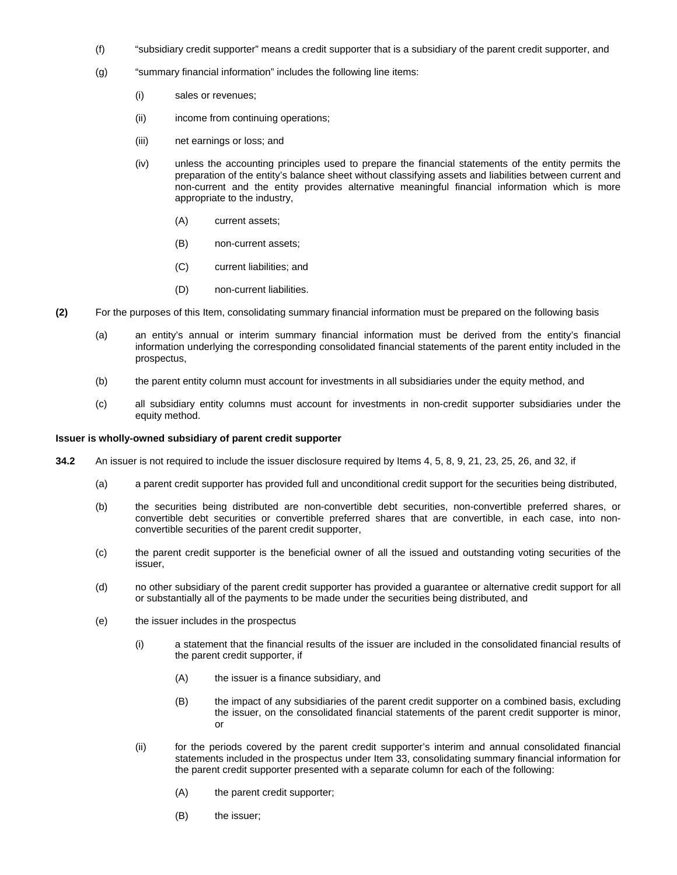- (f) "subsidiary credit supporter" means a credit supporter that is a subsidiary of the parent credit supporter, and
- (g) "summary financial information" includes the following line items:
	- (i) sales or revenues;
	- (ii) income from continuing operations;
	- (iii) net earnings or loss; and
	- (iv) unless the accounting principles used to prepare the financial statements of the entity permits the preparation of the entity's balance sheet without classifying assets and liabilities between current and non-current and the entity provides alternative meaningful financial information which is more appropriate to the industry,
		- (A) current assets;
		- (B) non-current assets;
		- (C) current liabilities; and
		- (D) non-current liabilities.
- **(2)** For the purposes of this Item, consolidating summary financial information must be prepared on the following basis
	- (a) an entity's annual or interim summary financial information must be derived from the entity's financial information underlying the corresponding consolidated financial statements of the parent entity included in the prospectus,
	- (b) the parent entity column must account for investments in all subsidiaries under the equity method, and
	- (c) all subsidiary entity columns must account for investments in non-credit supporter subsidiaries under the equity method.

#### **Issuer is wholly-owned subsidiary of parent credit supporter**

- **34.2** An issuer is not required to include the issuer disclosure required by Items 4, 5, 8, 9, 21, 23, 25, 26, and 32, if
	- (a) a parent credit supporter has provided full and unconditional credit support for the securities being distributed,
	- (b) the securities being distributed are non-convertible debt securities, non-convertible preferred shares, or convertible debt securities or convertible preferred shares that are convertible, in each case, into nonconvertible securities of the parent credit supporter,
	- (c) the parent credit supporter is the beneficial owner of all the issued and outstanding voting securities of the issuer,
	- (d) no other subsidiary of the parent credit supporter has provided a guarantee or alternative credit support for all or substantially all of the payments to be made under the securities being distributed, and
	- (e) the issuer includes in the prospectus
		- (i) a statement that the financial results of the issuer are included in the consolidated financial results of the parent credit supporter, if
			- (A) the issuer is a finance subsidiary, and
			- (B) the impact of any subsidiaries of the parent credit supporter on a combined basis, excluding the issuer, on the consolidated financial statements of the parent credit supporter is minor, or
		- (ii) for the periods covered by the parent credit supporter's interim and annual consolidated financial statements included in the prospectus under Item 33, consolidating summary financial information for the parent credit supporter presented with a separate column for each of the following:
			- (A) the parent credit supporter;
			- (B) the issuer;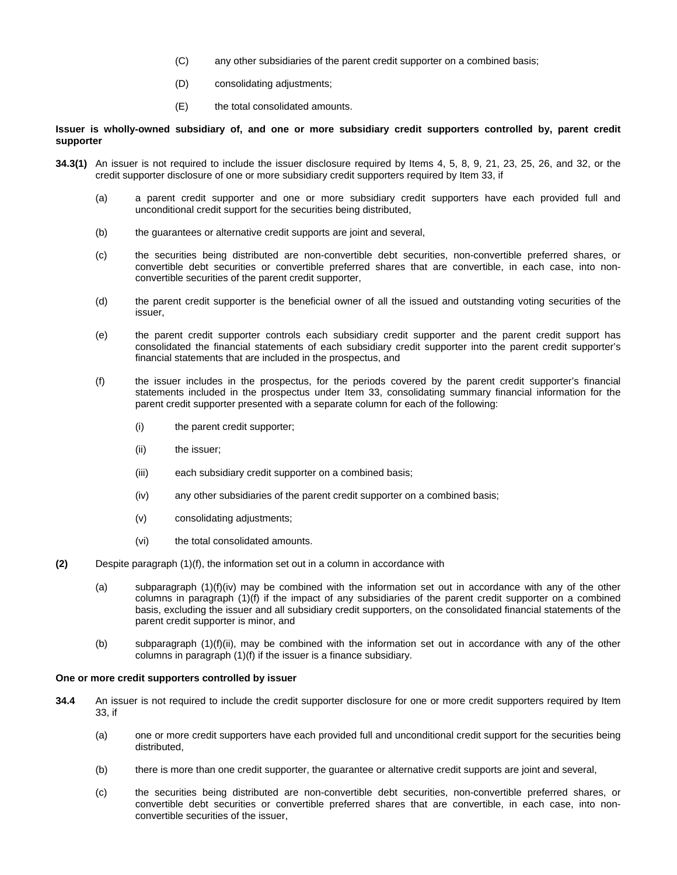- (C) any other subsidiaries of the parent credit supporter on a combined basis;
- (D) consolidating adjustments;
- (E) the total consolidated amounts.

## **Issuer is wholly-owned subsidiary of, and one or more subsidiary credit supporters controlled by, parent credit supporter**

- **34.3(1)** An issuer is not required to include the issuer disclosure required by Items 4, 5, 8, 9, 21, 23, 25, 26, and 32, or the credit supporter disclosure of one or more subsidiary credit supporters required by Item 33, if
	- (a) a parent credit supporter and one or more subsidiary credit supporters have each provided full and unconditional credit support for the securities being distributed,
	- (b) the guarantees or alternative credit supports are joint and several,
	- (c) the securities being distributed are non-convertible debt securities, non-convertible preferred shares, or convertible debt securities or convertible preferred shares that are convertible, in each case, into nonconvertible securities of the parent credit supporter,
	- (d) the parent credit supporter is the beneficial owner of all the issued and outstanding voting securities of the issuer,
	- (e) the parent credit supporter controls each subsidiary credit supporter and the parent credit support has consolidated the financial statements of each subsidiary credit supporter into the parent credit supporter's financial statements that are included in the prospectus, and
	- (f) the issuer includes in the prospectus, for the periods covered by the parent credit supporter's financial statements included in the prospectus under Item 33, consolidating summary financial information for the parent credit supporter presented with a separate column for each of the following:
		- (i) the parent credit supporter;
		- (ii) the issuer;
		- (iii) each subsidiary credit supporter on a combined basis;
		- (iv) any other subsidiaries of the parent credit supporter on a combined basis;
		- (v) consolidating adjustments;
		- (vi) the total consolidated amounts.
- **(2)** Despite paragraph (1)(f), the information set out in a column in accordance with
	- (a) subparagraph (1)(f)(iv) may be combined with the information set out in accordance with any of the other columns in paragraph (1)(f) if the impact of any subsidiaries of the parent credit supporter on a combined basis, excluding the issuer and all subsidiary credit supporters, on the consolidated financial statements of the parent credit supporter is minor, and
	- (b) subparagraph (1)(f)(ii), may be combined with the information set out in accordance with any of the other columns in paragraph (1)(f) if the issuer is a finance subsidiary.

#### **One or more credit supporters controlled by issuer**

- **34.4** An issuer is not required to include the credit supporter disclosure for one or more credit supporters required by Item 33, if
	- (a) one or more credit supporters have each provided full and unconditional credit support for the securities being distributed,
	- (b) there is more than one credit supporter, the guarantee or alternative credit supports are joint and several,
	- (c) the securities being distributed are non-convertible debt securities, non-convertible preferred shares, or convertible debt securities or convertible preferred shares that are convertible, in each case, into nonconvertible securities of the issuer,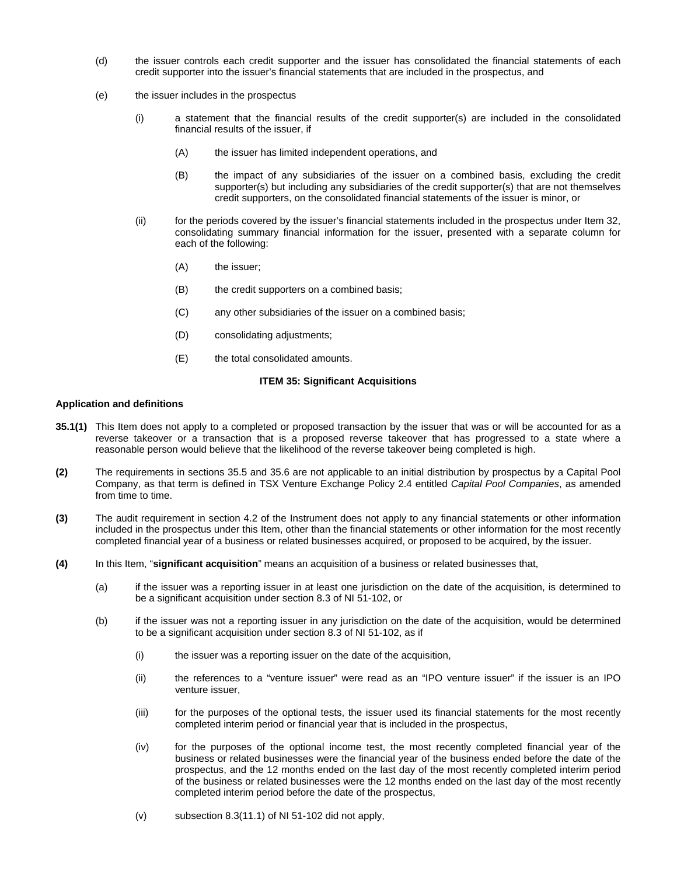- (d) the issuer controls each credit supporter and the issuer has consolidated the financial statements of each credit supporter into the issuer's financial statements that are included in the prospectus, and
- (e) the issuer includes in the prospectus
	- (i) a statement that the financial results of the credit supporter(s) are included in the consolidated financial results of the issuer, if
		- (A) the issuer has limited independent operations, and
		- (B) the impact of any subsidiaries of the issuer on a combined basis, excluding the credit supporter(s) but including any subsidiaries of the credit supporter(s) that are not themselves credit supporters, on the consolidated financial statements of the issuer is minor, or
	- (ii) for the periods covered by the issuer's financial statements included in the prospectus under Item 32, consolidating summary financial information for the issuer, presented with a separate column for each of the following:
		- (A) the issuer;
		- (B) the credit supporters on a combined basis;
		- (C) any other subsidiaries of the issuer on a combined basis;
		- (D) consolidating adjustments;
		- (E) the total consolidated amounts.

## **ITEM 35: Significant Acquisitions**

## **Application and definitions**

- **35.1(1)** This Item does not apply to a completed or proposed transaction by the issuer that was or will be accounted for as a reverse takeover or a transaction that is a proposed reverse takeover that has progressed to a state where a reasonable person would believe that the likelihood of the reverse takeover being completed is high.
- **(2)** The requirements in sections 35.5 and 35.6 are not applicable to an initial distribution by prospectus by a Capital Pool Company, as that term is defined in TSX Venture Exchange Policy 2.4 entitled *Capital Pool Companies*, as amended from time to time.
- **(3)** The audit requirement in section 4.2 of the Instrument does not apply to any financial statements or other information included in the prospectus under this Item, other than the financial statements or other information for the most recently completed financial year of a business or related businesses acquired, or proposed to be acquired, by the issuer.
- **(4)** In this Item, "**significant acquisition**" means an acquisition of a business or related businesses that,
	- (a) if the issuer was a reporting issuer in at least one jurisdiction on the date of the acquisition, is determined to be a significant acquisition under section 8.3 of NI 51-102, or
	- (b) if the issuer was not a reporting issuer in any jurisdiction on the date of the acquisition, would be determined to be a significant acquisition under section 8.3 of NI 51-102, as if
		- (i) the issuer was a reporting issuer on the date of the acquisition,
		- (ii) the references to a "venture issuer" were read as an "IPO venture issuer" if the issuer is an IPO venture issuer,
		- (iii) for the purposes of the optional tests, the issuer used its financial statements for the most recently completed interim period or financial year that is included in the prospectus,
		- (iv) for the purposes of the optional income test, the most recently completed financial year of the business or related businesses were the financial year of the business ended before the date of the prospectus, and the 12 months ended on the last day of the most recently completed interim period of the business or related businesses were the 12 months ended on the last day of the most recently completed interim period before the date of the prospectus,
		- (v) subsection 8.3(11.1) of NI 51-102 did not apply,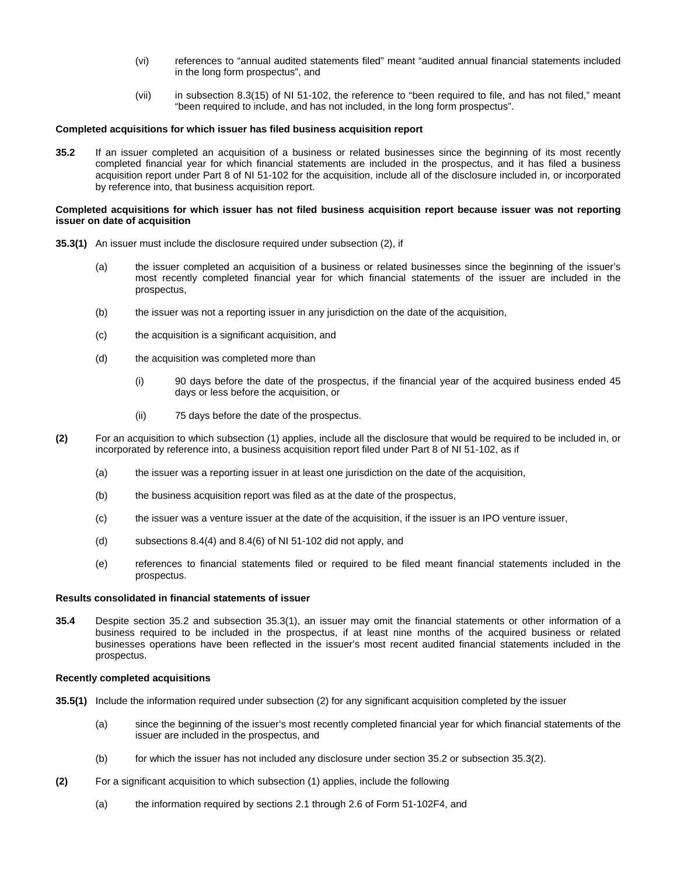- (vi) references to "annual audited statements filed" meant "audited annual financial statements included in the long form prospectus", and
- (vii) in subsection 8.3(15) of NI 51-102, the reference to "been required to file, and has not filed," meant "been required to include, and has not included, in the long form prospectus".

## **Completed acquisitions for which issuer has filed business acquisition report**

**35.2** If an issuer completed an acquisition of a business or related businesses since the beginning of its most recently completed financial year for which financial statements are included in the prospectus, and it has filed a business acquisition report under Part 8 of NI 51-102 for the acquisition, include all of the disclosure included in, or incorporated by reference into, that business acquisition report.

## **Completed acquisitions for which issuer has not filed business acquisition report because issuer was not reporting issuer on date of acquisition**

- **35.3(1)** An issuer must include the disclosure required under subsection (2), if
	- (a) the issuer completed an acquisition of a business or related businesses since the beginning of the issuer's most recently completed financial year for which financial statements of the issuer are included in the prospectus,
	- (b) the issuer was not a reporting issuer in any jurisdiction on the date of the acquisition,
	- (c) the acquisition is a significant acquisition, and
	- (d) the acquisition was completed more than
		- (i) 90 days before the date of the prospectus, if the financial year of the acquired business ended 45 days or less before the acquisition, or
		- (ii) 75 days before the date of the prospectus.
- **(2)** For an acquisition to which subsection (1) applies, include all the disclosure that would be required to be included in, or incorporated by reference into, a business acquisition report filed under Part 8 of NI 51-102, as if
	- (a) the issuer was a reporting issuer in at least one jurisdiction on the date of the acquisition,
	- (b) the business acquisition report was filed as at the date of the prospectus,
	- (c) the issuer was a venture issuer at the date of the acquisition, if the issuer is an IPO venture issuer,
	- (d) subsections 8.4(4) and 8.4(6) of NI 51-102 did not apply, and
	- (e) references to financial statements filed or required to be filed meant financial statements included in the prospectus.

#### **Results consolidated in financial statements of issuer**

**35.4** Despite section 35.2 and subsection 35.3(1), an issuer may omit the financial statements or other information of a business required to be included in the prospectus, if at least nine months of the acquired business or related businesses operations have been reflected in the issuer's most recent audited financial statements included in the prospectus.

#### **Recently completed acquisitions**

- **35.5(1)** Include the information required under subsection (2) for any significant acquisition completed by the issuer
	- (a) since the beginning of the issuer's most recently completed financial year for which financial statements of the issuer are included in the prospectus, and
	- (b) for which the issuer has not included any disclosure under section 35.2 or subsection 35.3(2).
- **(2)** For a significant acquisition to which subsection (1) applies, include the following
	- (a) the information required by sections 2.1 through 2.6 of Form 51-102F4, and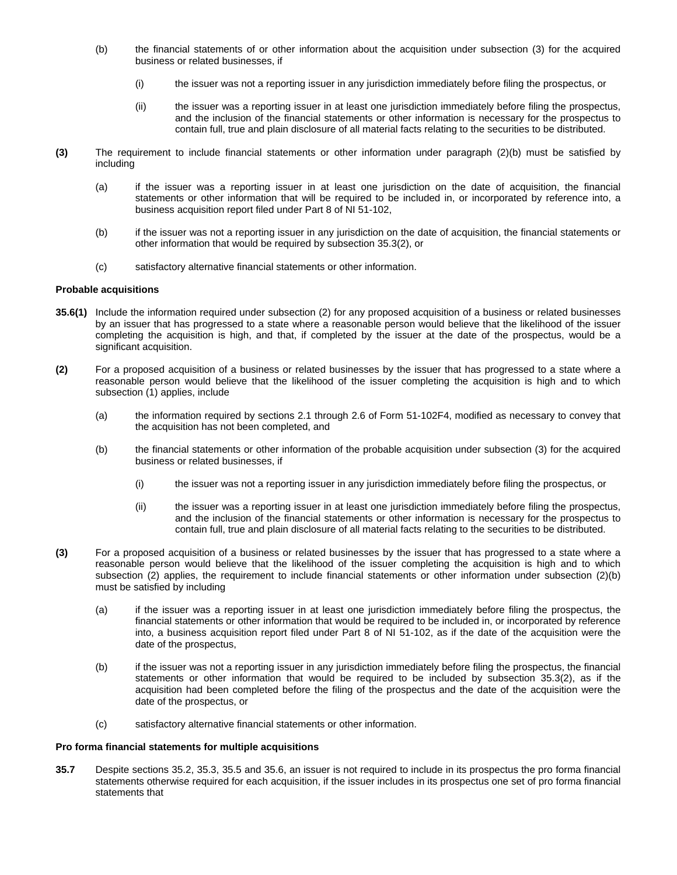- (b) the financial statements of or other information about the acquisition under subsection (3) for the acquired business or related businesses, if
	- (i) the issuer was not a reporting issuer in any jurisdiction immediately before filing the prospectus, or
	- (ii) the issuer was a reporting issuer in at least one jurisdiction immediately before filing the prospectus, and the inclusion of the financial statements or other information is necessary for the prospectus to contain full, true and plain disclosure of all material facts relating to the securities to be distributed.
- **(3)** The requirement to include financial statements or other information under paragraph (2)(b) must be satisfied by including
	- (a) if the issuer was a reporting issuer in at least one jurisdiction on the date of acquisition, the financial statements or other information that will be required to be included in, or incorporated by reference into, a business acquisition report filed under Part 8 of NI 51-102,
	- (b) if the issuer was not a reporting issuer in any jurisdiction on the date of acquisition, the financial statements or other information that would be required by subsection 35.3(2), or
	- (c) satisfactory alternative financial statements or other information.

## **Probable acquisitions**

- **35.6(1)** Include the information required under subsection (2) for any proposed acquisition of a business or related businesses by an issuer that has progressed to a state where a reasonable person would believe that the likelihood of the issuer completing the acquisition is high, and that, if completed by the issuer at the date of the prospectus, would be a significant acquisition.
- **(2)** For a proposed acquisition of a business or related businesses by the issuer that has progressed to a state where a reasonable person would believe that the likelihood of the issuer completing the acquisition is high and to which subsection (1) applies, include
	- (a) the information required by sections 2.1 through 2.6 of Form 51-102F4, modified as necessary to convey that the acquisition has not been completed, and
	- (b) the financial statements or other information of the probable acquisition under subsection (3) for the acquired business or related businesses, if
		- (i) the issuer was not a reporting issuer in any jurisdiction immediately before filing the prospectus, or
		- (ii) the issuer was a reporting issuer in at least one jurisdiction immediately before filing the prospectus, and the inclusion of the financial statements or other information is necessary for the prospectus to contain full, true and plain disclosure of all material facts relating to the securities to be distributed.
- **(3)** For a proposed acquisition of a business or related businesses by the issuer that has progressed to a state where a reasonable person would believe that the likelihood of the issuer completing the acquisition is high and to which subsection (2) applies, the requirement to include financial statements or other information under subsection (2)(b) must be satisfied by including
	- (a) if the issuer was a reporting issuer in at least one jurisdiction immediately before filing the prospectus, the financial statements or other information that would be required to be included in, or incorporated by reference into, a business acquisition report filed under Part 8 of NI 51-102, as if the date of the acquisition were the date of the prospectus,
	- (b) if the issuer was not a reporting issuer in any jurisdiction immediately before filing the prospectus, the financial statements or other information that would be required to be included by subsection 35.3(2), as if the acquisition had been completed before the filing of the prospectus and the date of the acquisition were the date of the prospectus, or
	- (c) satisfactory alternative financial statements or other information.

## **Pro forma financial statements for multiple acquisitions**

**35.7** Despite sections 35.2, 35.3, 35.5 and 35.6, an issuer is not required to include in its prospectus the pro forma financial statements otherwise required for each acquisition, if the issuer includes in its prospectus one set of pro forma financial statements that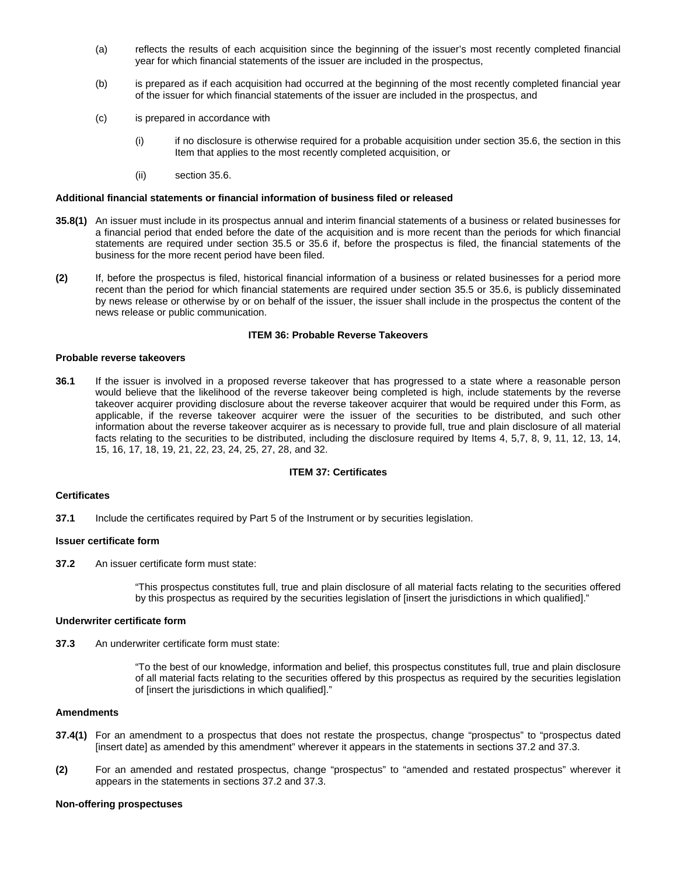- (a) reflects the results of each acquisition since the beginning of the issuer's most recently completed financial year for which financial statements of the issuer are included in the prospectus,
- (b) is prepared as if each acquisition had occurred at the beginning of the most recently completed financial year of the issuer for which financial statements of the issuer are included in the prospectus, and
- (c) is prepared in accordance with
	- (i) if no disclosure is otherwise required for a probable acquisition under section 35.6, the section in this Item that applies to the most recently completed acquisition, or
	- (ii) section 35.6.

#### **Additional financial statements or financial information of business filed or released**

- **35.8(1)** An issuer must include in its prospectus annual and interim financial statements of a business or related businesses for a financial period that ended before the date of the acquisition and is more recent than the periods for which financial statements are required under section 35.5 or 35.6 if, before the prospectus is filed, the financial statements of the business for the more recent period have been filed.
- **(2)** If, before the prospectus is filed, historical financial information of a business or related businesses for a period more recent than the period for which financial statements are required under section 35.5 or 35.6, is publicly disseminated by news release or otherwise by or on behalf of the issuer, the issuer shall include in the prospectus the content of the news release or public communication.

## **ITEM 36: Probable Reverse Takeovers**

# **Probable reverse takeovers**

**36.1** If the issuer is involved in a proposed reverse takeover that has progressed to a state where a reasonable person would believe that the likelihood of the reverse takeover being completed is high, include statements by the reverse takeover acquirer providing disclosure about the reverse takeover acquirer that would be required under this Form, as applicable, if the reverse takeover acquirer were the issuer of the securities to be distributed, and such other information about the reverse takeover acquirer as is necessary to provide full, true and plain disclosure of all material facts relating to the securities to be distributed, including the disclosure required by Items 4, 5,7, 8, 9, 11, 12, 13, 14, 15, 16, 17, 18, 19, 21, 22, 23, 24, 25, 27, 28, and 32.

# **ITEM 37: Certificates**

# **Certificates**

**37.1** Include the certificates required by Part 5 of the Instrument or by securities legislation.

#### **Issuer certificate form**

**37.2** An issuer certificate form must state:

"This prospectus constitutes full, true and plain disclosure of all material facts relating to the securities offered by this prospectus as required by the securities legislation of [insert the jurisdictions in which qualified]."

#### **Underwriter certificate form**

**37.3** An underwriter certificate form must state:

"To the best of our knowledge, information and belief, this prospectus constitutes full, true and plain disclosure of all material facts relating to the securities offered by this prospectus as required by the securities legislation of [insert the jurisdictions in which qualified]."

## **Amendments**

- **37.4(1)** For an amendment to a prospectus that does not restate the prospectus, change "prospectus" to "prospectus dated [insert date] as amended by this amendment" wherever it appears in the statements in sections 37.2 and 37.3.
- **(2)** For an amended and restated prospectus, change "prospectus" to "amended and restated prospectus" wherever it appears in the statements in sections 37.2 and 37.3.

#### **Non-offering prospectuses**